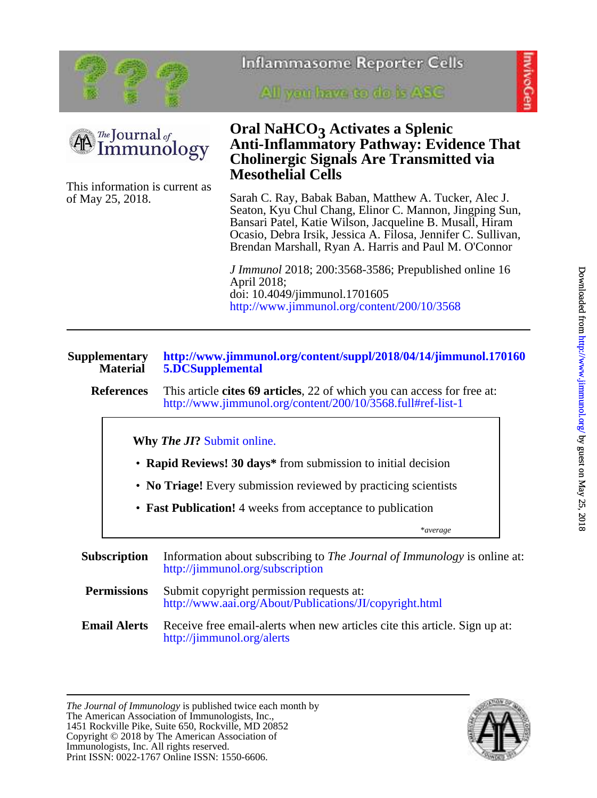



mivoGe



of May 25, 2018. This information is current as All you have to do is ASC

# **Mesothelial Cells Cholinergic Signals Are Transmitted via Anti-Inflammatory Pathway: Evidence That Oral NaHCO<sub>3</sub> Activates a Splenic**

Brendan Marshall, Ryan A. Harris and Paul M. O'Connor Ocasio, Debra Irsik, Jessica A. Filosa, Jennifer C. Sullivan, Bansari Patel, Katie Wilson, Jacqueline B. Musall, Hiram Seaton, Kyu Chul Chang, Elinor C. Mannon, Jingping Sun, Sarah C. Ray, Babak Baban, Matthew A. Tucker, Alec J.

<http://www.jimmunol.org/content/200/10/3568> doi: 10.4049/jimmunol.1701605 April 2018; *J Immunol* 2018; 200:3568-3586; Prepublished online 16

| <b>Supplementary</b><br><b>Material</b> | http://www.jimmunol.org/content/suppl/2018/04/14/jimmunol.170160<br>5.DCSupplemental                                                   |  |  |  |  |
|-----------------------------------------|----------------------------------------------------------------------------------------------------------------------------------------|--|--|--|--|
| <b>References</b>                       | This article cites 69 articles, 22 of which you can access for free at:<br>http://www.jimmunol.org/content/200/10/3568.full#ref-list-1 |  |  |  |  |
|                                         | <b>Why The JI?</b> Submit online.                                                                                                      |  |  |  |  |
|                                         | • Rapid Reviews! 30 days* from submission to initial decision                                                                          |  |  |  |  |
|                                         | • No Triage! Every submission reviewed by practicing scientists                                                                        |  |  |  |  |
|                                         | • Fast Publication! 4 weeks from acceptance to publication                                                                             |  |  |  |  |
|                                         | *average                                                                                                                               |  |  |  |  |

**Subscription** <http://jimmunol.org/subscription> Information about subscribing to *The Journal of Immunology* is online at: **Permissions** <http://www.aai.org/About/Publications/JI/copyright.html> Submit copyright permission requests at: **Email Alerts** <http://jimmunol.org/alerts> Receive free email-alerts when new articles cite this article. Sign up at:

Print ISSN: 0022-1767 Online ISSN: 1550-6606. Immunologists, Inc. All rights reserved. Copyright © 2018 by The American Association of 1451 Rockville Pike, Suite 650, Rockville, MD 20852 The American Association of Immunologists, Inc., *The Journal of Immunology* is published twice each month by

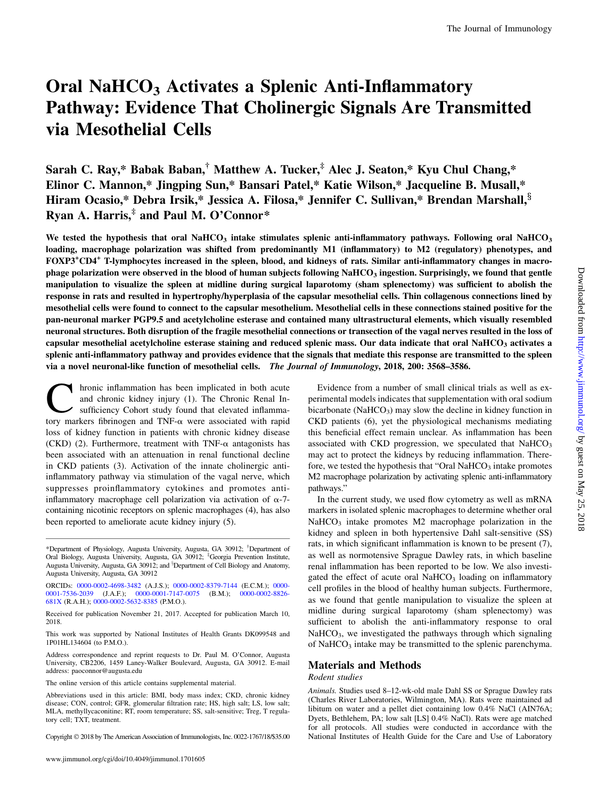# Oral NaHCO<sub>3</sub> Activates a Splenic Anti-Inflammatory Pathway: Evidence That Cholinergic Signals Are Transmitted via Mesothelial Cells

Sarah C. Ray,\* Babak Baban,<sup>†</sup> Matthew A. Tucker,<sup>‡</sup> [Alec J. Seaton,](http://orcid.org/0000-0002-4698-3482)\* Kyu Chul Chang,\* [Elinor C. Mannon](http://orcid.org/0000-0002-8379-7144),\* Jingping Sun,\* Bansari Patel,\* Katie Wilson,\* Jacqueline B. Musall,\* Hiram Ocasio,\* Debra Irsik,\* [Jessica A. Filosa](http://orcid.org/0000-0001-7536-2039),\* Jennifer C. Sullivan,\* [Brendan Marshall,](http://orcid.org/0000-0001-7147-0075)<sup>§</sup> [Ryan A. Harris,](http://orcid.org/0000-0002-8826-681X) $*$  and [Paul M. O'Connor\\*](http://orcid.org/0000-0002-5632-8385)

We tested the hypothesis that oral NaHCO<sub>3</sub> intake stimulates splenic anti-inflammatory pathways. Following oral NaHCO<sub>3</sub> loading, macrophage polarization was shifted from predominantly M1 (inflammatory) to M2 (regulatory) phenotypes, and FOXP3<sup>+</sup> CD4+ T-lymphocytes increased in the spleen, blood, and kidneys of rats. Similar anti-inflammatory changes in macrophage polarization were observed in the blood of human subjects following NaHCO<sub>3</sub> ingestion. Surprisingly, we found that gentle manipulation to visualize the spleen at midline during surgical laparotomy (sham splenectomy) was sufficient to abolish the response in rats and resulted in hypertrophy/hyperplasia of the capsular mesothelial cells. Thin collagenous connections lined by mesothelial cells were found to connect to the capsular mesothelium. Mesothelial cells in these connections stained positive for the pan-neuronal marker PGP9.5 and acetylcholine esterase and contained many ultrastructural elements, which visually resembled neuronal structures. Both disruption of the fragile mesothelial connections or transection of the vagal nerves resulted in the loss of capsular mesothelial acetylcholine esterase staining and reduced splenic mass. Our data indicate that oral NaHCO<sub>3</sub> activates a splenic anti-inflammatory pathway and provides evidence that the signals that mediate this response are transmitted to the spleen via a novel neuronal-like function of mesothelial cells. The Journal of Immunology, 2018, 200: 3568-3586.

hronic inflammation has been implicated in both acute and chronic kidney injury (1). The Chronic Renal Insufficiency Cohort study found that elevated inflammatory markers fibrinogen and TNF- $\alpha$  were associated with rapid loss of kidney function in patients with chronic kidney disease (CKD) (2). Furthermore, treatment with TNF- $\alpha$  antagonists has been associated with an attenuation in renal functional decline in CKD patients (3). Activation of the innate cholinergic antiinflammatory pathway via stimulation of the vagal nerve, which suppresses proinflammatory cytokines and promotes antiinflammatory macrophage cell polarization via activation of  $\alpha$ -7containing nicotinic receptors on splenic macrophages (4), has also been reported to ameliorate acute kidney injury (5).

ORCIDs: [0000-0002-4698-3482](http://orcid.org/0000-0002-4698-3482) (A.J.S.); [0000-0002-8379-7144](http://orcid.org/0000-0002-8379-7144) (E.C.M.); [0000-](http://orcid.org/0000-0001-7536-2039) [0001-7536-2039](http://orcid.org/0000-0001-7536-2039) (J.A.F.); [0000-0001-7147-0075](http://orcid.org/0000-0001-7147-0075) (B.M.); [0000-0002-8826-](http://orcid.org/0000-0002-8826-681X) [681X](http://orcid.org/0000-0002-8826-681X) (R.A.H.); [0000-0002-5632-8385](http://orcid.org/0000-0002-5632-8385) (P.M.O.).

Received for publication November 21, 2017. Accepted for publication March 10, 2018.

This work was supported by National Institutes of Health Grants DK099548 and 1P01HL134604 (to P.M.O.).

Address correspondence and reprint requests to Dr. Paul M. O'Connor, Augusta University, CB2206, 1459 Laney-Walker Boulevard, Augusta, GA 30912. E-mail address: [paoconnor@augusta.edu](mailto:paoconnor@augusta.edu)

The online version of this article contains [supplemental material.](http://www.jimmunol.org/lookup/suppl/doi:10.4049/jimmunol.1701605/-/DCSupplemental)

Abbreviations used in this article: BMI, body mass index; CKD, chronic kidney disease; CON, control; GFR, glomerular filtration rate; HS, high salt; LS, low salt; MLA, methyllycaconitine; RT, room temperature; SS, salt-sensitive; Treg, T regulatory cell; TXT, treatment.

Copyright 2018 by The American Association of Immunologists, Inc. 0022-1767/18/\$35.00

Evidence from a number of small clinical trials as well as experimental models indicates that supplementation with oral sodium bicarbonate (Na $HCO<sub>3</sub>$ ) may slow the decline in kidney function in CKD patients (6), yet the physiological mechanisms mediating this beneficial effect remain unclear. As inflammation has been associated with CKD progression, we speculated that  $NaHCO<sub>3</sub>$ may act to protect the kidneys by reducing inflammation. Therefore, we tested the hypothesis that "Oral NaHCO<sub>3</sub> intake promotes M2 macrophage polarization by activating splenic anti-inflammatory pathways."

In the current study, we used flow cytometry as well as mRNA markers in isolated splenic macrophages to determine whether oral  $NaHCO<sub>3</sub>$  intake promotes M2 macrophage polarization in the kidney and spleen in both hypertensive Dahl salt-sensitive (SS) rats, in which significant inflammation is known to be present (7), as well as normotensive Sprague Dawley rats, in which baseline renal inflammation has been reported to be low. We also investigated the effect of acute oral NaHCO<sub>3</sub> loading on inflammatory cell profiles in the blood of healthy human subjects. Furthermore, as we found that gentle manipulation to visualize the spleen at midline during surgical laparotomy (sham splenectomy) was sufficient to abolish the anti-inflammatory response to oral  $NaHCO<sub>3</sub>$ , we investigated the pathways through which signaling of NaHCO<sub>3</sub> intake may be transmitted to the splenic parenchyma.

#### Materials and Methods

#### Rodent studies

Animals. Studies used 8–12-wk-old male Dahl SS or Sprague Dawley rats (Charles River Laboratories, Wilmington, MA). Rats were maintained ad libitum on water and a pellet diet containing low 0.4% NaCl (AIN76A; Dyets, Bethlehem, PA; low salt [LS] 0.4% NaCl). Rats were age matched for all protocols. All studies were conducted in accordance with the National Institutes of Health Guide for the Care and Use of Laboratory

<sup>\*</sup>Department of Physiology, Augusta University, Augusta, GA 30912; † Department of Oral Biology, Augusta University, Augusta, GA 30912; <sup>‡</sup>Georgia Prevention Institute, Augusta University, Augusta, GA 30912; and <sup>§</sup>Department of Cell Biology and Anatomy, Augusta University, Augusta, GA 30912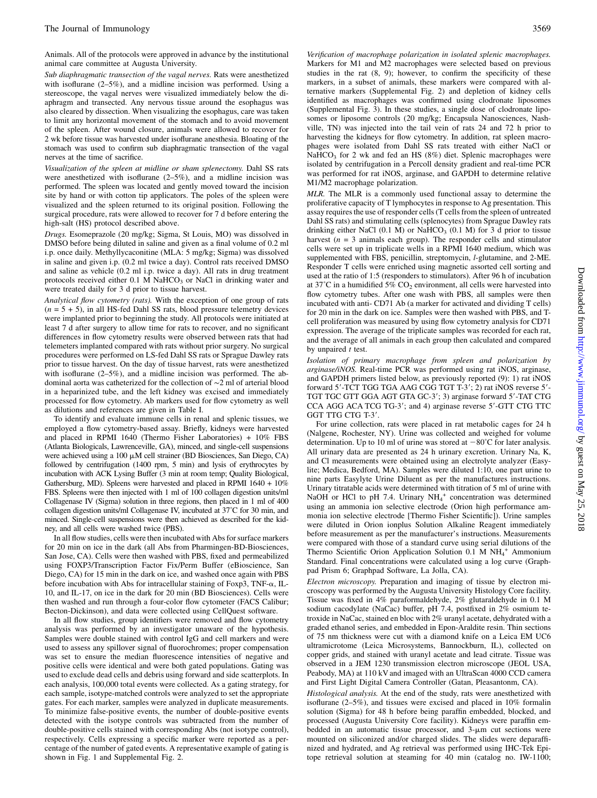Animals. All of the protocols were approved in advance by the institutional animal care committee at Augusta University.

Sub diaphragmatic transection of the vagal nerves. Rats were anesthetized with isoflurane (2–5%), and a midline incision was performed. Using a stereoscope, the vagal nerves were visualized immediately below the diaphragm and transected. Any nervous tissue around the esophagus was also cleared by dissection. When visualizing the esophagus, care was taken to limit any horizontal movement of the stomach and to avoid movement of the spleen. After wound closure, animals were allowed to recover for 2 wk before tissue was harvested under isoflurane anesthesia. Bloating of the stomach was used to confirm sub diaphragmatic transection of the vagal nerves at the time of sacrifice.

Visualization of the spleen at midline or sham splenectomy. Dahl SS rats were anesthetized with isoflurane (2–5%), and a midline incision was performed. The spleen was located and gently moved toward the incision site by hand or with cotton tip applicators. The poles of the spleen were visualized and the spleen returned to its original position. Following the surgical procedure, rats were allowed to recover for 7 d before entering the high-salt (HS) protocol described above.

Drugs. Esomeprazole (20 mg/kg; Sigma, St Louis, MO) was dissolved in DMSO before being diluted in saline and given as a final volume of 0.2 ml i.p. once daily. Methyllycaconitine (MLA: 5 mg/kg; Sigma) was dissolved in saline and given i.p. (0.2 ml twice a day). Control rats received DMSO and saline as vehicle (0.2 ml i.p. twice a day). All rats in drug treatment protocols received either  $0.1$  M NaHCO<sub>3</sub> or NaCl in drinking water and were treated daily for 3 d prior to tissue harvest.

Analytical flow cytometry (rats). With the exception of one group of rats  $(n = 5 + 5)$ , in all HS-fed Dahl SS rats, blood pressure telemetry devices were implanted prior to beginning the study. All protocols were initiated at least 7 d after surgery to allow time for rats to recover, and no significant differences in flow cytometry results were observed between rats that had telemeters implanted compared with rats without prior surgery. No surgical procedures were performed on LS-fed Dahl SS rats or Sprague Dawley rats prior to tissue harvest. On the day of tissue harvest, rats were anesthetized with isoflurane (2–5%), and a midline incision was performed. The abdominal aorta was catheterized for the collection of ∼2 ml of arterial blood in a heparinized tube, and the left kidney was excised and immediately processed for flow cytometry. Ab markers used for flow cytometry as well as dilutions and references are given in Table I.

To identify and evaluate immune cells in renal and splenic tissues, we employed a flow cytometry-based assay. Briefly, kidneys were harvested and placed in RPMI 1640 (Thermo Fisher Laboratories) + 10% FBS (Atlanta Biologicals, Lawrenceville, GA), minced, and single-cell suspensions were achieved using a 100  $\mu$ M cell strainer (BD Biosciences, San Diego, CA) followed by centrifugation (1400 rpm, 5 min) and lysis of erythrocytes by incubation with ACK Lysing Buffer (3 min at room temp; Quality Biological, Gathersburg, MD). Spleens were harvested and placed in RPMI 1640 + 10% FBS. Spleens were then injected with 1 ml of 100 collagen digestion units/ml Collagenase IV (Sigma) solution in three regions, then placed in 1 ml of 400 collagen digestion units/ml Collagenase IV, incubated at 37˚C for 30 min, and minced. Single-cell suspensions were then achieved as described for the kidney, and all cells were washed twice (PBS).

In all flow studies, cells were then incubated with Abs for surface markers for 20 min on ice in the dark (all Abs from Pharmingen-BD-Biosciences, San Jose, CA). Cells were then washed with PBS, fixed and permeabilized using FOXP3/Transcription Factor Fix/Perm Buffer (eBioscience, San Diego, CA) for 15 min in the dark on ice, and washed once again with PBS before incubation with Abs for intracellular staining of Foxp3, TNF- $\alpha$ , IL-10, and IL-17, on ice in the dark for 20 min (BD Biosciences). Cells were then washed and run through a four-color flow cytometer (FACS Calibur; Becton-Dickinson), and data were collected using CellQuest software.

In all flow studies, group identifiers were removed and flow cytometry analysis was performed by an investigator unaware of the hypothesis. Samples were double stained with control IgG and cell markers and were used to assess any spillover signal of fluorochromes; proper compensation was set to ensure the median fluorescence intensities of negative and positive cells were identical and were both gated populations. Gating was used to exclude dead cells and debris using forward and side scatterplots. In each analysis, 100,000 total events were collected. As a gating strategy, for each sample, isotype-matched controls were analyzed to set the appropriate gates. For each marker, samples were analyzed in duplicate measurements. To minimize false-positive events, the number of double-positive events detected with the isotype controls was subtracted from the number of double-positive cells stained with corresponding Abs (not isotype control), respectively. Cells expressing a specific marker were reported as a percentage of the number of gated events. A representative example of gating is shown in Fig. 1 and [Supplemental Fig. 2.](http://www.jimmunol.org/lookup/suppl/doi:10.4049/jimmunol.1701605/-/DCSupplemental)

Verification of macrophage polarization in isolated splenic macrophages. Markers for M1 and M2 macrophages were selected based on previous studies in the rat (8, 9); however, to confirm the specificity of these markers, in a subset of animals, these markers were compared with alternative markers ([Supplemental Fig. 2](http://www.jimmunol.org/lookup/suppl/doi:10.4049/jimmunol.1701605/-/DCSupplemental)) and depletion of kidney cells identified as macrophages was confirmed using clodronate liposomes ([Supplemental Fig. 3\)](http://www.jimmunol.org/lookup/suppl/doi:10.4049/jimmunol.1701605/-/DCSupplemental). In these studies, a single dose of clodronate liposomes or liposome controls (20 mg/kg; Encapsula Nanosciences, Nashville, TN) was injected into the tail vein of rats 24 and 72 h prior to harvesting the kidneys for flow cytometry. In addition, rat spleen macrophages were isolated from Dahl SS rats treated with either NaCl or  $NaHCO<sub>3</sub>$  for 2 wk and fed an HS (8%) diet. Splenic macrophages were isolated by centrifugation in a Percoll density gradient and real-time PCR was performed for rat iNOS, arginase, and GAPDH to determine relative M1/M2 macrophage polarization.

MLR. The MLR is a commonly used functional assay to determine the proliferative capacity of T lymphocytes in response to Ag presentation. This assay requires the use of responder cells (T cells from the spleen of untreated Dahl SS rats) and stimulating cells (splenocytes) from Sprague Dawley rats drinking either NaCl  $(0.1 \text{ M})$  or NaHCO<sub>3</sub>  $(0.1 \text{ M})$  for 3 d prior to tissue harvest  $(n = 3)$  animals each group). The responder cells and stimulator cells were set up in triplicate wells in a RPMI 1640 medium, which was supplemented with FBS, penicillin, streptomycin, l-glutamine, and 2-ME. Responder T cells were enriched using magnetic assorted cell sorting and used at the ratio of 1:5 (responders to stimulators). After 96 h of incubation at 37°C in a humidified 5%  $CO_2$  environment, all cells were harvested into flow cytometry tubes. After one wash with PBS, all samples were then incubated with anti- CD71 Ab (a marker for activated and dividing T cells) for 20 min in the dark on ice. Samples were then washed with PBS, and Tcell proliferation was measured by using flow cytometry analysis for CD71 expression. The average of the triplicate samples was recorded for each rat, and the average of all animals in each group then calculated and compared by unpaired  $t$  test.

Isolation of primary macrophage from spleen and polarization by arginase/iNOS. Real-time PCR was performed using rat iNOS, arginase, and GAPDH primers listed below, as previously reported (9): 1) rat iNOS forward 5'-TCT TGG TGA AAG CGG TGT T-3'; 2) rat iNOS reverse 5'-TGT TGC GTT GGA AGT GTA GC-3'; 3) arginase forward 5'-TAT CTG CCA AGG ACA TCG TG-3'; and 4) arginase reverse 5'-GTT CTG TTC GGT TTG CTG T-3'.

For urine collection, rats were placed in rat metabolic cages for 24 h (Nalgene, Rochester, NY). Urine was collected and weighed for volume determination. Up to 10 ml of urine was stored at  $-80^{\circ}$ C for later analysis. All urinary data are presented as 24 h urinary excretion. Urinary Na, K, and Cl measurements were obtained using an electrolyte analyzer (Easylite; Medica, Bedford, MA). Samples were diluted 1:10, one part urine to nine parts Easylyte Urine Diluent as per the manufactures instructions. Urinary titratable acids were determined with titration of 5 ml of urine with NaOH or HCl to pH 7.4. Urinary  $NH_4^+$  concentration was determined using an ammonia ion selective electrode (Orion high performance ammonia ion selective electrode [Thermo Fisher Scientific]). Urine samples were diluted in Orion ionplus Solution Alkaline Reagent immediately before measurement as per the manufacturer's instructions. Measurements were compared with those of a standard curve using serial dilutions of the Thermo Scientific Orion Application Solution 0.1 M NH<sub>4</sub><sup>+</sup> Ammonium Standard. Final concentrations were calculated using a log curve (Graphpad Prism 6; Graphpad Software, La Jolla, CA).

Electron microscopy. Preparation and imaging of tissue by electron microscopy was performed by the Augusta University Histology Core facility. Tissue was fixed in 4% paraformaldehyde, 2% glutaraldehyde in 0.1 M sodium cacodylate (NaCac) buffer, pH 7.4, postfixed in 2% osmium tetroxide in NaCac, stained en bloc with 2% uranyl acetate, dehydrated with a graded ethanol series, and embedded in Epon-Araldite resin. Thin sections of 75 nm thickness were cut with a diamond knife on a Leica EM UC6 ultramicrotome (Leica Microsystems, Bannockburn, IL), collected on copper grids, and stained with uranyl acetate and lead citrate. Tissue was observed in a JEM 1230 transmission electron microscope (JEOL USA, Peabody, MA) at 110 kV and imaged with an UltraScan 4000 CCD camera and First Light Digital Camera Controller (Gatan, Pleasantonm, CA).

Histological analysis. At the end of the study, rats were anesthetized with isoflurane (2–5%), and tissues were excised and placed in 10% formalin solution (Sigma) for 48 h before being paraffin embedded, blocked, and processed (Augusta University Core facility). Kidneys were paraffin embedded in an automatic tissue processor, and  $3-\mu m$  cut sections were mounted on siliconized and/or charged slides. The slides were deparaffinized and hydrated, and Ag retrieval was performed using IHC-Tek Epitope retrieval solution at steaming for 40 min (catalog no. IW-1100;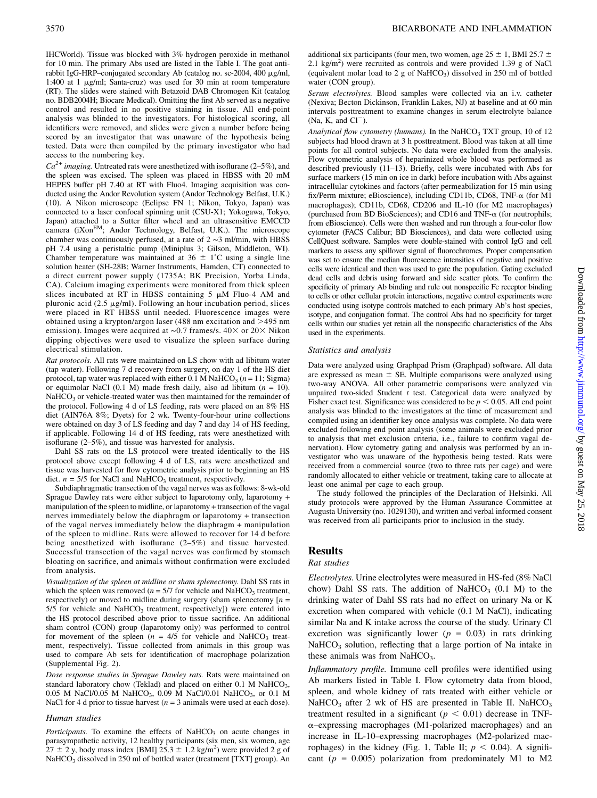$Ca^{2+}$  imaging. Untreated rats were anesthetized with isoflurane (2–5%), and the spleen was excised. The spleen was placed in HBSS with 20 mM HEPES buffer pH 7.40 at RT with Fluo4. Imaging acquisition was conducted using the Andor Revolution system (Andor Technology Belfast, U.K.) (10). A Nikon microscope (Eclipse FN 1; Nikon, Tokyo, Japan) was connected to a laser confocal spinning unit (CSU-X1; Yokogawa, Tokyo, Japan) attached to a Sutter filter wheel and an ultrasensitive EMCCD camera (iXon<sup>EM</sup>; Andor Technology, Belfast, U.K.). The microscope chamber was continuously perfused, at a rate of 2 ∼3 ml/min, with HBSS pH 7.4 using a peristaltic pump (Miniplus 3; Gilson, Middleton, WI). Chamber temperature was maintained at  $36 \pm 1^{\circ}$ C using a single line solution heater (SH-28B; Warner Instruments, Hamden, CT) connected to a direct current power supply (1735A; BK Precision, Yorba Linda, CA). Calcium imaging experiments were monitored from thick spleen slices incubated at RT in HBSS containing  $5 \mu M$  Fluo-4 AM and pluronic acid (2.5  $\mu$ g/ml). Following an hour incubation period, slices were placed in RT HBSS until needed. Fluorescence images were obtained using a krypton/argon laser (488 nm excitation and  $>$ 495 nm emission). Images were acquired at ~0.7 frames/s. 40× or 20× Nikon dipping objectives were used to visualize the spleen surface during electrical stimulation.

Rat protocols. All rats were maintained on LS chow with ad libitum water (tap water). Following 7 d recovery from surgery, on day 1 of the HS diet protocol, tap water was replaced with either 0.1 M NaHCO<sub>3</sub> ( $n = 11$ ; Sigma) or equimolar NaCl (0.1 M) made fresh daily, also ad libitum ( $n = 10$ ).  $NaHCO<sub>3</sub>$  or vehicle-treated water was then maintained for the remainder of the protocol. Following 4 d of LS feeding, rats were placed on an 8% HS diet (AIN76A 8%; Dyets) for 2 wk. Twenty-four-hour urine collections were obtained on day 3 of LS feeding and day 7 and day 14 of HS feeding, if applicable. Following 14 d of HS feeding, rats were anesthetized with isoflurane (2–5%), and tissue was harvested for analysis.

Dahl SS rats on the LS protocol were treated identically to the HS protocol above except following 4 d of LS, rats were anesthetized and tissue was harvested for flow cytometric analysis prior to beginning an HS diet.  $n = 5/5$  for NaCl and NaHCO<sub>3</sub> treatment, respectively.

Subdiaphragmatic transection of the vagal nerves was as follows: 8-wk-old Sprague Dawley rats were either subject to laparotomy only, laparotomy + manipulation of the spleen to midline, or laparotomy + transection of the vagal nerves immediately below the diaphragm or laparotomy + transection of the vagal nerves immediately below the diaphragm + manipulation of the spleen to midline. Rats were allowed to recover for 14 d before being anesthetized with isoflurane (2–5%) and tissue harvested. Successful transection of the vagal nerves was confirmed by stomach bloating on sacrifice, and animals without confirmation were excluded from analysis.

Visualization of the spleen at midline or sham splenectomy. Dahl SS rats in which the spleen was removed ( $n = 5/7$  for vehicle and NaHCO<sub>3</sub> treatment, respectively) or moved to midline during surgery (sham splenectomy  $[n =$  $5/5$  for vehicle and NaHCO<sub>3</sub> treatment, respectively]) were entered into the HS protocol described above prior to tissue sacrifice. An additional sham control (CON) group (laparotomy only) was performed to control for movement of the spleen  $(n = 4/5)$  for vehicle and NaHCO<sub>3</sub> treatment, respectively). Tissue collected from animals in this group was used to compare Ab sets for identification of macrophage polarization ([Supplemental Fig. 2](http://www.jimmunol.org/lookup/suppl/doi:10.4049/jimmunol.1701605/-/DCSupplemental)).

Dose response studies in Sprague Dawley rats. Rats were maintained on standard laboratory chow (Teklad) and placed on either 0.1 M NaHCO<sub>3</sub>, 0.05 M NaCl/0.05 M NaHCO<sub>3</sub>, 0.09 M NaCl/0.01 NaHCO<sub>3</sub>, or 0.1 M NaCl for 4 d prior to tissue harvest ( $n = 3$  animals were used at each dose).

#### Human studies

Participants. To examine the effects of NaHCO<sub>3</sub> on acute changes in parasympathetic activity, 12 healthy participants (six men, six women, age  $27 \pm 2$  y, body mass index [BMI]  $25.3 \pm 1.2$  kg/m<sup>2</sup>) were provided 2 g of NaHCO<sub>3</sub> dissolved in 250 ml of bottled water (treatment [TXT] group). An additional six participants (four men, two women, age  $25 \pm 1$ , BMI 25.7  $\pm$ 2.1 kg/m<sup>2</sup>) were recruited as controls and were provided 1.39 g of NaCl (equivalent molar load to 2 g of NaHCO<sub>3</sub>) dissolved in 250 ml of bottled water (CON group).

Serum electrolytes. Blood samples were collected via an i.v. catheter (Nexiva; Becton Dickinson, Franklin Lakes, NJ) at baseline and at 60 min intervals posttreatment to examine changes in serum electrolyte balance  $(Na, K, and Cl<sup>-</sup>).$ 

Analytical flow cytometry (humans). In the NaHCO<sub>3</sub> TXT group, 10 of 12 subjects had blood drawn at 3 h posttreatment. Blood was taken at all time points for all control subjects. No data were excluded from the analysis. Flow cytometric analysis of heparinized whole blood was performed as described previously (11–13). Briefly, cells were incubated with Abs for surface markers (15 min on ice in dark) before incubation with Abs against intracellular cytokines and factors (after permeabilization for 15 min using fix/Perm mixture; eBioscience), including CD11b, CD68, TNF- $\alpha$  (for M1 macrophages); CD11b, CD68, CD206 and IL-10 (for M2 macrophages) (purchased from BD BioSciences); and CD16 and TNF-a (for neutrophils; from eBioscience). Cells were then washed and run through a four-color flow cytometer (FACS Calibur; BD Biosciences), and data were collected using CellQuest software. Samples were double-stained with control IgG and cell markers to assess any spillover signal of fluorochromes. Proper compensation was set to ensure the median fluorescence intensities of negative and positive cells were identical and then was used to gate the population. Gating excluded dead cells and debris using forward and side scatter plots. To confirm the specificity of primary Ab binding and rule out nonspecific Fc receptor binding to cells or other cellular protein interactions, negative control experiments were conducted using isotype controls matched to each primary Ab's host species, isotype, and conjugation format. The control Abs had no specificity for target cells within our studies yet retain all the nonspecific characteristics of the Abs used in the experiments.

#### Statistics and analysis

Data were analyzed using Graphpad Prism (Graphpad) software. All data are expressed as mean  $\pm$  SE. Multiple comparisons were analyzed using two-way ANOVA. All other parametric comparisons were analyzed via unpaired two-sided Student  $t$  test. Categorical data were analyzed by Fisher exact test. Significance was considered to be  $p < 0.05$ . All end point analysis was blinded to the investigators at the time of measurement and compiled using an identifier key once analysis was complete. No data were excluded following end point analysis (some animals were excluded prior to analysis that met exclusion criteria, i.e., failure to confirm vagal denervation). Flow cytometry gating and analysis was performed by an investigator who was unaware of the hypothesis being tested. Rats were received from a commercial source (two to three rats per cage) and were randomly allocated to either vehicle or treatment, taking care to allocate at least one animal per cage to each group.

The study followed the principles of the Declaration of Helsinki. All study protocols were approved by the Human Assurance Committee at Augusta University (no. 1029130), and written and verbal informed consent was received from all participants prior to inclusion in the study.

# **Results**

#### Rat studies

Electrolytes. Urine electrolytes were measured in HS-fed (8% NaCl chow) Dahl SS rats. The addition of NaHCO<sub>3</sub>  $(0.1 \text{ M})$  to the drinking water of Dahl SS rats had no effect on urinary Na or K excretion when compared with vehicle (0.1 M NaCl), indicating similar Na and K intake across the course of the study. Urinary Cl excretion was significantly lower ( $p = 0.03$ ) in rats drinking  $NaHCO<sub>3</sub>$  solution, reflecting that a large portion of Na intake in these animals was from NaHCO<sub>3</sub>.

Inflammatory profile. Immune cell profiles were identified using Ab markers listed in Table I. Flow cytometry data from blood, spleen, and whole kidney of rats treated with either vehicle or NaHCO<sub>3</sub> after 2 wk of HS are presented in Table II. NaHCO<sub>3</sub> treatment resulted in a significant ( $p < 0.01$ ) decrease in TNF- $\alpha$ –expressing macrophages (M1-polarized macrophages) and an increase in IL-10–expressing macrophages (M2-polarized macrophages) in the kidney (Fig. 1, Table II;  $p < 0.04$ ). A significant ( $p = 0.005$ ) polarization from predominately M1 to M2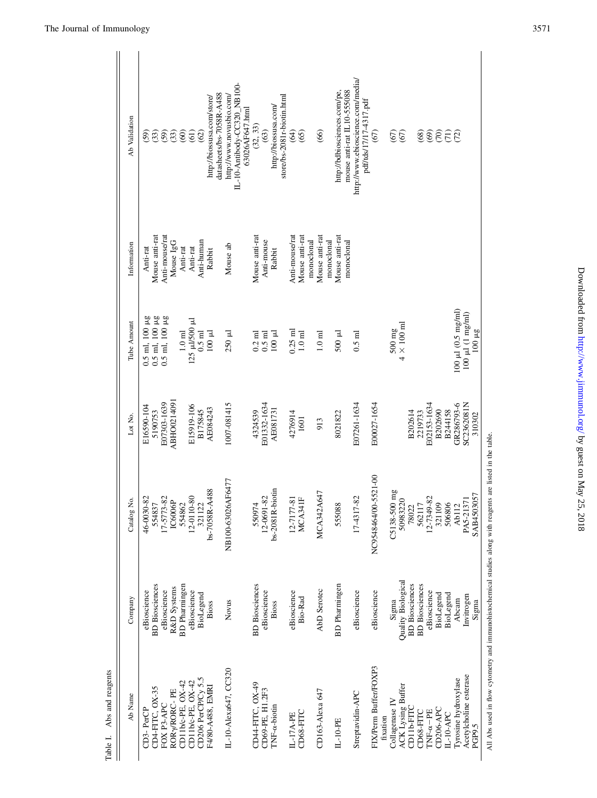| Abs and reagents<br>Table I.                   |                                      |                                                                                                             |                          |                                                                         |                              |                                                                            |
|------------------------------------------------|--------------------------------------|-------------------------------------------------------------------------------------------------------------|--------------------------|-------------------------------------------------------------------------|------------------------------|----------------------------------------------------------------------------|
| Ab Name                                        | Company                              | Catalog No.                                                                                                 | Lot No.                  | Tube Amount                                                             | Information                  | Ab Validation                                                              |
| $CD3-PerCP$                                    | eBioscience                          | 46-0030-82<br>554837                                                                                        | E16590-104               |                                                                         | Anti-rat                     | (59)                                                                       |
| CD4-FITC, OX-35                                | <b>BD</b> Biosciences                |                                                                                                             | 5190753                  |                                                                         | Mouse anti-rat               | (33)                                                                       |
| FOX P3-APC                                     | eBioscience                          | 17-5773-82<br>IC6006P                                                                                       | E07303-1639              | $0.5$ ml, $100 \mu g$<br>$0.5$ ml, $100 \mu g$<br>$0.5$ ml, $100 \mu g$ | Anti-mouse/rat               | (59)                                                                       |
| ROR <sub>y/</sub> RORC-PE                      | R&D Systems                          |                                                                                                             | ABHO0214091              |                                                                         | Mouse IgG                    | (33)                                                                       |
| CD11b/c-PE, OX-42                              | <b>BD</b> Pharmingen                 | 554862                                                                                                      |                          | $1.0\ \mathrm{m}$                                                       | Anti-rat                     | (60)                                                                       |
| CD11b/c-PE, OX-42                              | eBioscience                          | 12-0110-80                                                                                                  | E15919-106               | L25 µJ/500 µJ                                                           | Anti-rat                     | (61)                                                                       |
| CD206 PerCP/Cy 5.5                             | BioLegend                            | 321122                                                                                                      | B175845                  | $0.5$ ml                                                                | Anti-human                   | (62)                                                                       |
| F4/80-A488, EMRI                               | Bioss                                | bs-7058R-A488                                                                                               | AE084243                 | $100 \mu$                                                               | Rabbit                       | datasheets/bs-7058R-A488<br>http://biossusa.com/store/                     |
| IL-10-Alexa647, CC320                          | Novus                                | NB100-63026AF6477                                                                                           | 1007-081415              | 250 µl                                                                  | Mouse ab                     | IL-10-Antibody-CC320_NB100-<br>http://www.novusbio.com/<br>63026AF647.html |
| CD44-FITC, OX-49                               | <b>BD</b> Biosciences                | 550974                                                                                                      | 4324539                  | $0.2$ ml                                                                | Mouse anti-rat               | (32, 33)                                                                   |
| CD69-PE, H1.2F3                                | eBioscience                          | 12-0691-82                                                                                                  | E01332-1634              | $0.5$ m $1$                                                             | Anti-mouse                   | (63)                                                                       |
| $TNF-\alpha-biotin$                            | Bioss                                | bs-2081R-biotin                                                                                             | AE081731                 | $100 \mu$                                                               | Rabbit                       | store/bs-2081r-biotin.html<br>http://biossusa.com/                         |
| IL-17A-PE                                      | eBioscience                          | 12-7177-81                                                                                                  | 4276914                  | $0.25$ m                                                                | Anti-mouse/rat               | (64)                                                                       |
| CD68-FITC                                      | Bio-Rad                              | MCA341F                                                                                                     | 1601                     | $1.0 \text{ ml}$                                                        | Mouse anti-rat<br>monoclonal | (65)                                                                       |
| CD163-Alexa 647                                | AbD Serotec                          | MCA342A647                                                                                                  | 913                      | $1.0 \text{ ml}$                                                        | Mouse anti-rat<br>monoclonal | (66)                                                                       |
| $IL-10-PE$                                     | <b>BD</b> Pharmingen                 | 555088                                                                                                      | 8021822                  | 500 µl                                                                  | Mouse anti-rat<br>monoclonal | http://bdbiosciences.com/pe,<br>mouse anti-rat IL10-555088                 |
| Streptavidin-APC                               | eBioscience                          | 17-4317-82                                                                                                  | E07261-1634              | $0.5$ m $\overline{1}$                                                  |                              | http://www.ebioscience.com/media/<br>pdf/tds/17/17-4317.pdf                |
| FIX/Perm Buffer/FOXP3<br>fixation              | eBioscience                          | NC9548464/00-5521-00                                                                                        | E00027-1654              |                                                                         |                              | (67)                                                                       |
| ACK Lysing Buffer<br>Collagenase IV            | <b>Quality Biological</b><br>Sigma   | C5138-500 mg<br>50983220                                                                                    |                          | $4 \times 100$ ml<br>$500$ mg                                           |                              | (67)<br>(67)                                                               |
| CD11b-FITC                                     | <b>BD</b> Biosciences                | 78022                                                                                                       | B202614                  |                                                                         |                              |                                                                            |
| $TNF-\alpha-PE$<br>CD68-FITC                   | <b>BD</b> Biosciences<br>eBioscience | 12-7349-82<br>562117                                                                                        | E02153-1634<br>2219733   |                                                                         |                              | (68)                                                                       |
| CD206-APC                                      | BioLegend                            | 321109                                                                                                      | B202690                  |                                                                         |                              | <b>SEE</b>                                                                 |
| $IL-10-APC$                                    | BioLegend                            | 506806                                                                                                      | B244158                  |                                                                         |                              |                                                                            |
| Acetylcholine esterase<br>Tyrosine hydroxylase | Abcam                                | PA5-21371<br>Ab <sub>112</sub>                                                                              | GR286793-6<br>SC2362081N | $100 \mu l (0.5 mg/ml)$                                                 |                              | (72)                                                                       |
| PGP9.5                                         | Invitrogen<br>Sigma                  | SAB4503057                                                                                                  | 310302                   | $100 \mu l$ (1 mg/ml)<br>$100~\mu\text{g}$                              |                              |                                                                            |
|                                                |                                      | All Abs used in flow cytometry and immunohistochemical studies along with reagents are listed in the table. |                          |                                                                         |                              |                                                                            |

All Abs used in flow cytometry and immunohistochemical studies along with reagents are listed in the table. 5ء<br>پ .<br>a s, ž,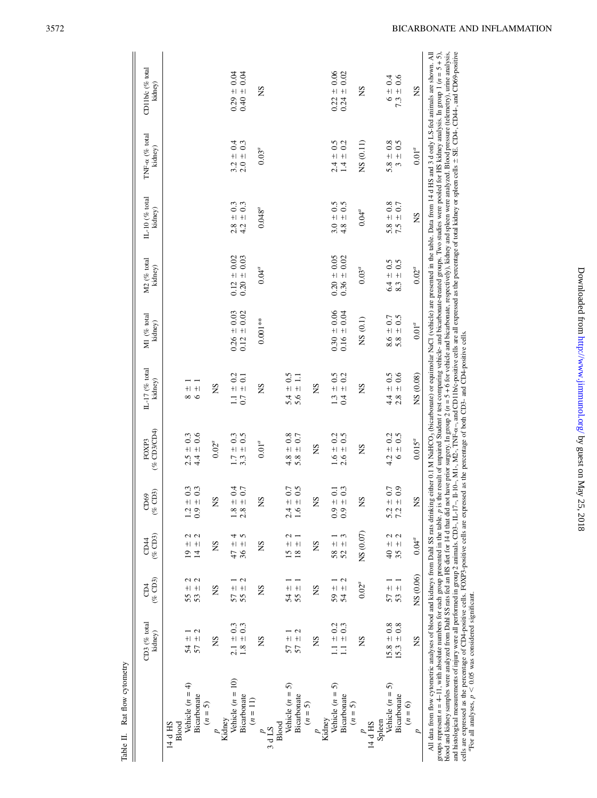|                                                                                                                                                                                                                                                                                                                                                                                                                                                                                                                                                                                                                                                                          | CD3 (% total              | $\overline{\mathsf{D}}$ 4      | CD <sub>44</sub>                  | CD69                                                          | FOXP3                | IL-17 (% total                                               | M1 (% total      | M2 (% total                                                               | $IL-10$ (% total           | TNF- $\alpha$ (% total             | CD11b/c (% total                                                                                                                                                                                                                                                                                                                                  |
|--------------------------------------------------------------------------------------------------------------------------------------------------------------------------------------------------------------------------------------------------------------------------------------------------------------------------------------------------------------------------------------------------------------------------------------------------------------------------------------------------------------------------------------------------------------------------------------------------------------------------------------------------------------------------|---------------------------|--------------------------------|-----------------------------------|---------------------------------------------------------------|----------------------|--------------------------------------------------------------|------------------|---------------------------------------------------------------------------|----------------------------|------------------------------------|---------------------------------------------------------------------------------------------------------------------------------------------------------------------------------------------------------------------------------------------------------------------------------------------------------------------------------------------------|
|                                                                                                                                                                                                                                                                                                                                                                                                                                                                                                                                                                                                                                                                          | kidney)                   | (% CD3)                        | $(\%$ CD3)                        | CD3<br>$\mathcal{C}$                                          | $($ % $CD3/CDA)$     | kidney)                                                      | kidney)          | kidney)                                                                   | kidney)                    | kidney)                            | kidney)                                                                                                                                                                                                                                                                                                                                           |
| Blood<br>14 d HS                                                                                                                                                                                                                                                                                                                                                                                                                                                                                                                                                                                                                                                         |                           |                                |                                   |                                                               |                      |                                                              |                  |                                                                           |                            |                                    |                                                                                                                                                                                                                                                                                                                                                   |
| Vehicle $(n = 4)$                                                                                                                                                                                                                                                                                                                                                                                                                                                                                                                                                                                                                                                        |                           |                                | $+1$<br>$\overline{0}$            | 0.3                                                           | $2.5 \pm 0.3$        |                                                              |                  |                                                                           |                            |                                    |                                                                                                                                                                                                                                                                                                                                                   |
| Bicarbonate                                                                                                                                                                                                                                                                                                                                                                                                                                                                                                                                                                                                                                                              | 2<br>$54 + 7$             | U U<br>$\frac{1}{5}$<br>53     | 2<br>2<br>$\frac{+}{4}$           | $+ 0.3$<br>+ 0.3<br>$1.2$<br>0.9                              | $4.4 \pm 0.6$        | $\begin{array}{c} + 1 \\ + 1 \\ - 1 \end{array}$             |                  |                                                                           |                            |                                    |                                                                                                                                                                                                                                                                                                                                                   |
| $(n = 5)$                                                                                                                                                                                                                                                                                                                                                                                                                                                                                                                                                                                                                                                                |                           |                                |                                   |                                                               |                      |                                                              |                  |                                                                           |                            |                                    |                                                                                                                                                                                                                                                                                                                                                   |
| Kidney                                                                                                                                                                                                                                                                                                                                                                                                                                                                                                                                                                                                                                                                   | SN                        | SN                             | SN                                | SN                                                            | $0.02^{a}$           | SN                                                           |                  |                                                                           |                            |                                    |                                                                                                                                                                                                                                                                                                                                                   |
| Vehicle $(n = 10)$                                                                                                                                                                                                                                                                                                                                                                                                                                                                                                                                                                                                                                                       | $2.1 \pm 0.3$             |                                | 4<br>$\pm$ 47                     | $0.4\,$                                                       | $1.7 \pm 0.3$        |                                                              | $0.26 \pm 0.03$  |                                                                           |                            |                                    | $0.29 + 0.04$                                                                                                                                                                                                                                                                                                                                     |
| Bicarbonate                                                                                                                                                                                                                                                                                                                                                                                                                                                                                                                                                                                                                                                              | $1.8 \pm 0.3$             | 2<br>$\frac{1}{25}$            | 5<br>$36 \pm$                     | 0.7<br>$+1$ +1<br>$1.8$<br>2.8                                | $3.3 \pm 0.5$        | $\begin{array}{c} 1.1\,\pm\,0.2\\ 0.7\,\pm\,0.1 \end{array}$ | $0.12 \pm 0.02$  | $\begin{array}{c} 0.12 \, \pm \, 0.02 \\ 0.20 \, \pm \, 0.03 \end{array}$ | $2.8 \pm 0.3$<br>4.2 ± 0.3 | $3.2 \pm 0.4$<br>2.0 $\pm$ 0.3     | $0.40 \pm 0.04$                                                                                                                                                                                                                                                                                                                                   |
| $(n = 11)$                                                                                                                                                                                                                                                                                                                                                                                                                                                                                                                                                                                                                                                               |                           |                                |                                   |                                                               |                      |                                                              |                  |                                                                           |                            |                                    |                                                                                                                                                                                                                                                                                                                                                   |
| 3 d LS                                                                                                                                                                                                                                                                                                                                                                                                                                                                                                                                                                                                                                                                   | SN                        | SN                             | SN                                | SN                                                            | $0.01^{a}$           | SN                                                           | $0.001**$        | $0.04^{a}$                                                                | $0.048^{a}$                | $0.03^{a}$                         | SN                                                                                                                                                                                                                                                                                                                                                |
| Blood                                                                                                                                                                                                                                                                                                                                                                                                                                                                                                                                                                                                                                                                    |                           |                                |                                   |                                                               |                      |                                                              |                  |                                                                           |                            |                                    |                                                                                                                                                                                                                                                                                                                                                   |
| Vehicle $(n = 5)$                                                                                                                                                                                                                                                                                                                                                                                                                                                                                                                                                                                                                                                        | $\pm$ 57                  | $\frac{1}{24}$                 | N<br>$\ddagger$<br>$\overline{6}$ | 0.7<br>$+1$ +1<br>2.4                                         | $4.8 \pm 0.8$        | 0.5<br>$\ddot{+}$<br>5.4                                     |                  |                                                                           |                            |                                    |                                                                                                                                                                                                                                                                                                                                                   |
| Bicarbonate                                                                                                                                                                                                                                                                                                                                                                                                                                                                                                                                                                                                                                                              | $\mathcal{L}$<br>$57 \pm$ |                                | $+1$<br>$\frac{8}{18}$            | 0.5<br>1.6                                                    | $\pm$ 0.7<br>5.8     | $5.6 \pm 1.1$                                                |                  |                                                                           |                            |                                    |                                                                                                                                                                                                                                                                                                                                                   |
| $(n = 5)$                                                                                                                                                                                                                                                                                                                                                                                                                                                                                                                                                                                                                                                                |                           |                                |                                   |                                                               |                      |                                                              |                  |                                                                           |                            |                                    |                                                                                                                                                                                                                                                                                                                                                   |
|                                                                                                                                                                                                                                                                                                                                                                                                                                                                                                                                                                                                                                                                          | SN                        | SN                             | S                                 | SN                                                            | SN                   | SN                                                           |                  |                                                                           |                            |                                    |                                                                                                                                                                                                                                                                                                                                                   |
| Kidney                                                                                                                                                                                                                                                                                                                                                                                                                                                                                                                                                                                                                                                                   |                           |                                |                                   |                                                               |                      |                                                              |                  |                                                                           |                            |                                    |                                                                                                                                                                                                                                                                                                                                                   |
| Vehicle $(n = 5)$                                                                                                                                                                                                                                                                                                                                                                                                                                                                                                                                                                                                                                                        | $1.1 \pm 0.2$             | $\frac{1}{2}$<br>$\frac{1}{2}$ | $58 \pm$                          | $\begin{array}{c} +0.1 \\ +0.3 \end{array}$<br>0.9            | $1.6 \pm 0.2$        | $1.3 \pm 0.5$                                                | $0.30 \pm 0.06$  | $0.20 = 0.05$                                                             | $3.0 \pm 0.5$              | $\pm$ 0.5<br>$\frac{4}{24}$        | $0.22 \pm 0.06$                                                                                                                                                                                                                                                                                                                                   |
| Bicarbonate                                                                                                                                                                                                                                                                                                                                                                                                                                                                                                                                                                                                                                                              | $1.1 \pm 0.3$             | $\mathbf{\Omega}$              | $+1$<br>52                        | 0.3<br>$_{0.9}$                                               | $2.6 \pm 0.5$        | ± 0.2<br>$\ddot{ }$                                          | $0.16 \pm 0.04$  | $0.36 \pm 0.02$                                                           | $\pm 0.5$<br>4.8           | $\pm$ 0.2<br>1.4                   | $\pm 0.02$<br>0.24                                                                                                                                                                                                                                                                                                                                |
| $(n = 5)$                                                                                                                                                                                                                                                                                                                                                                                                                                                                                                                                                                                                                                                                |                           |                                |                                   |                                                               |                      |                                                              |                  |                                                                           |                            |                                    |                                                                                                                                                                                                                                                                                                                                                   |
| 14 d HS                                                                                                                                                                                                                                                                                                                                                                                                                                                                                                                                                                                                                                                                  | SN                        | $0.02^a$                       | NS (0.07)                         | ΣN                                                            | SN                   | <b>SN</b>                                                    | NS(0.1)          | $0.03^{a}$                                                                | $0.04^a$                   | NS (0.11)                          | <b>NS</b>                                                                                                                                                                                                                                                                                                                                         |
| Spleen                                                                                                                                                                                                                                                                                                                                                                                                                                                                                                                                                                                                                                                                   |                           |                                |                                   |                                                               |                      |                                                              |                  |                                                                           |                            |                                    |                                                                                                                                                                                                                                                                                                                                                   |
| Vehicle $(n = 5)$                                                                                                                                                                                                                                                                                                                                                                                                                                                                                                                                                                                                                                                        | $15.8 \pm 0.8$            |                                | Z<br>$+$                          |                                                               | $4.2 \pm 0.2$        |                                                              | $8.6 \pm 0.7$    | $6.4 \pm 0.5$                                                             |                            | $\pm 0.8$<br>5.8                   | $6 \pm 0.4$                                                                                                                                                                                                                                                                                                                                       |
| Bicarbonate                                                                                                                                                                                                                                                                                                                                                                                                                                                                                                                                                                                                                                                              | $-6.8$<br>15.3            | $\frac{11}{25}$                | $\mathbf{C}$<br>$35 \pm$          | $\begin{array}{c}\n+ 0.7 \\ + 0.9\n\end{array}$<br>5.2<br>7.2 | $\pm 0.5$<br>$\circ$ | $4.4 \pm 0.5$<br>$2.8 \pm 0.6$                               | $\pm$ 0.5<br>5.8 | $\pm$ 0.5<br>8.3                                                          | $5.8 \pm 0.8$<br>7.5 ± 0.7 | $\pm 0.5$<br>$\tilde{\phantom{a}}$ | $7.3 \pm 0.6$                                                                                                                                                                                                                                                                                                                                     |
| $(n = 6)$                                                                                                                                                                                                                                                                                                                                                                                                                                                                                                                                                                                                                                                                |                           |                                |                                   |                                                               |                      |                                                              |                  |                                                                           |                            |                                    |                                                                                                                                                                                                                                                                                                                                                   |
| p                                                                                                                                                                                                                                                                                                                                                                                                                                                                                                                                                                                                                                                                        | SN                        | NS (0.06)                      | $0.04^a$                          | <b>SN</b>                                                     | $0.015^a$            | NS (0.08)                                                    | $0.01^a$         | $0.02^a$                                                                  | SN                         | $0.01^{a}$                         | ΣN                                                                                                                                                                                                                                                                                                                                                |
| and histological measurements of injury were all performed in group 2 animals. CD3-, IL-10-, M1-, 1-10-, M1-, M2-, TNF-a-, and CD11b/c-positive cells are all expressed as the percentage of total kidney or spleen cells ± SE<br>All data from flow cytometric analyses of blood and kidneys from Dahl SS rats drinking either 0.1 M NaHCO <sub>3</sub> (bicarbonate) or equimolar NaCl (vehicle) are presented in the table. Data from 14 d HS and 3 d only LS-fed anima<br>groups represent $n = 4-11$ , with absolute numbers for each group presented in the table. $p$ is bood and kidney samples were analyzed from Dahl SS rats fed an HS diet for 14 d that did |                           |                                |                                   |                                                               |                      |                                                              |                  |                                                                           |                            |                                    | is the result of unpaired Student t test comparing vehicle- and bicarbonate-treated groups. Two studies were pooled for HS kidney analysis. In group $1(n = 5 + 5)$ ,<br>not have prior surgery. In group $2 (n = 5 + 6$ for vehicle and bicarbonate, respectively), kidney and spleen were analyzed. Blood pressure (telemetry), urine analysis, |
|                                                                                                                                                                                                                                                                                                                                                                                                                                                                                                                                                                                                                                                                          |                           |                                |                                   |                                                               |                      |                                                              |                  |                                                                           |                            |                                    |                                                                                                                                                                                                                                                                                                                                                   |

and histological measurements of injury were all performed in group 2 animals. CD3-, IL-17-, II-10-, M1-, M2-, M1-, M2-, M1-, M2-, md CD11b/c-positive cells are all expressed as the percentage of total kidney or spleen cel groups represent  $n = 4-11$ , with absolute numbers for each group presented in the table, p is the result of unpaired Student test comparing vehicle- and bicarbonate-treated groups. Twisted and kiolone sumples were analyze cells are expressed as the percentage of CD4-positive cells. FOXP3-positive cells are expressed as the percentage of both CD3- and CD4-positive cells.

For all analyses,  $p < 0.05$  was considered significant.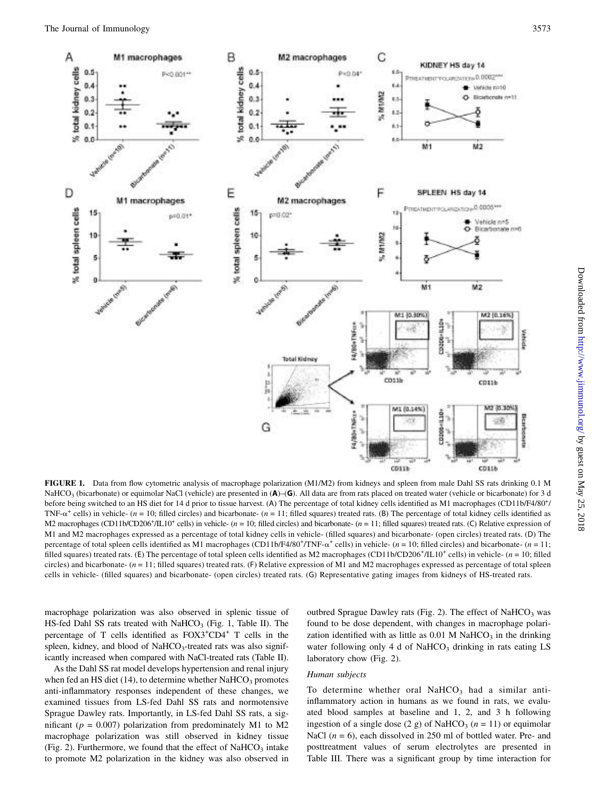

FIGURE 1. Data from flow cytometric analysis of macrophage polarization (M1/M2) from kidneys and spleen from male Dahl SS rats drinking 0.1 M NaHCO<sub>3</sub> (bicarbonate) or equimolar NaCl (vehicle) are presented in (A)–(G). All data are from rats placed on treated water (vehicle or bicarbonate) for 3 d before being switched to an HS diet for 14 d prior to tissue harvest. (A) The percentage of total kidney cells identified as M1 macrophages (CD11b/F4/80<sup>+</sup>/ TNF- $\alpha^+$  cells) in vehicle- (n = 10; filled circles) and bicarbonate- (n = 11; filled squares) treated rats. (B) The percentage of total kidney cells identified as M2 macrophages (CD11b/CD206<sup>+</sup>/IL10<sup>+</sup> cells) in vehicle-  $(n = 10$ ; filled circles) and bicarbonate-  $(n = 11$ ; filled squares) treated rats. (C) Relative expression of M1 and M2 macrophages expressed as a percentage of total kidney cells in vehicle- (filled squares) and bicarbonate- (open circles) treated rats. (D) The percentage of total spleen cells identified as M1 macrophages (CD11b/F4/80<sup>+</sup>/TNF- $\alpha^+$  cells) in vehicle- (n = 10; filled circles) and bicarbonate- (n = 11;<br>filled course) trasted rate (E) The percentage of total spleen filled squares) treated rats. (E) The percentage of total spleen cells identified as M2 macrophages (CD11b/CD206<sup>+</sup>/IL10<sup>+</sup> cells) in vehicle-  $(n = 10;$  filled circles) and bicarbonate-  $(n = 11$ ; filled squares) treated rats. (F) Relative expression of M1 and M2 macrophages expressed as percentage of total spleen cells in vehicle- (filled squares) and bicarbonate- (open circles) treated rats. (G) Representative gating images from kidneys of HS-treated rats.

macrophage polarization was also observed in splenic tissue of HS-fed Dahl SS rats treated with  $NaHCO<sub>3</sub>$  (Fig. 1, Table II). The percentage of T cells identified as  $FOX3+CD4+$  T cells in the spleen, kidney, and blood of NaHCO<sub>3</sub>-treated rats was also significantly increased when compared with NaCl-treated rats (Table II).

As the Dahl SS rat model develops hypertension and renal injury when fed an HS diet  $(14)$ , to determine whether NaHCO<sub>3</sub> promotes anti-inflammatory responses independent of these changes, we examined tissues from LS-fed Dahl SS rats and normotensive Sprague Dawley rats. Importantly, in LS-fed Dahl SS rats, a significant ( $p = 0.007$ ) polarization from predominately M1 to M2 macrophage polarization was still observed in kidney tissue (Fig. 2). Furthermore, we found that the effect of  $NaHCO<sub>3</sub>$  intake to promote M2 polarization in the kidney was also observed in

outbred Sprague Dawley rats (Fig. 2). The effect of  $NaHCO<sub>3</sub>$  was found to be dose dependent, with changes in macrophage polarization identified with as little as  $0.01$  M NaHCO<sub>3</sub> in the drinking water following only 4 d of NaHCO<sub>3</sub> drinking in rats eating  $LS$ laboratory chow (Fig. 2).

# Human subjects

To determine whether oral  $NaHCO<sub>3</sub>$  had a similar antiinflammatory action in humans as we found in rats, we evaluated blood samples at baseline and 1, 2, and 3 h following ingestion of a single dose (2 g) of NaHCO<sub>3</sub> ( $n = 11$ ) or equimolar NaCl  $(n = 6)$ , each dissolved in 250 ml of bottled water. Pre- and posttreatment values of serum electrolytes are presented in Table III. There was a significant group by time interaction for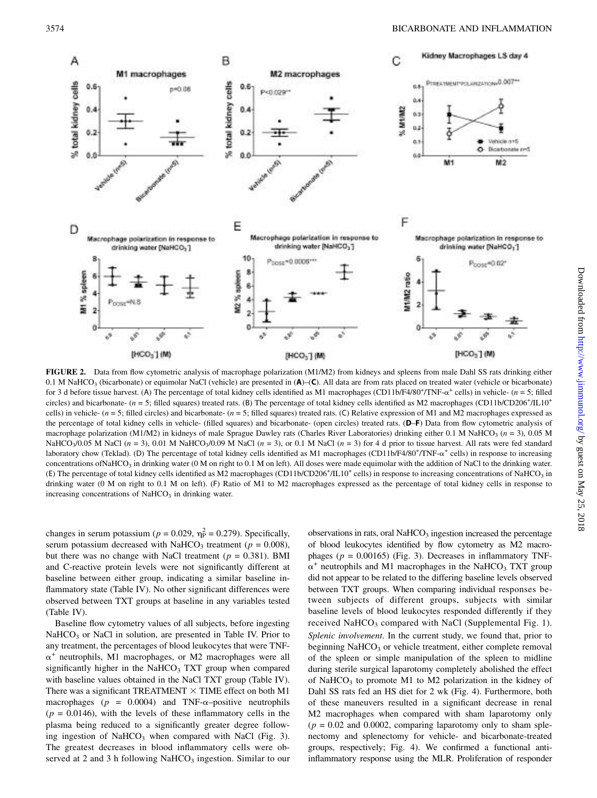

FIGURE 2. Data from flow cytometric analysis of macrophage polarization (M1/M2) from kidneys and spleens from male Dahl SS rats drinking either 0.1 M NaHCO<sub>3</sub> (bicarbonate) or equimolar NaCl (vehicle) are presented in  $(A)$ – $(C)$ . All data are from rats placed on treated water (vehicle or bicarbonate) for 3 d before tissue harvest. (A) The percentage of total kidney cells identified as M1 macrophages (CD11b/F4/80+/TNF- $\alpha^+$  cells) in vehicle- (n = 5; filled<br>circles) and bicarbonate (n = 5; filled squares) traated rats circles) and bicarbonate-  $(n = 5$ ; filled squares) treated rats. (B) The percentage of total kidney cells identified as M2 macrophages (CD11b/CD206<sup>+</sup>/IL10<sup>+</sup> cells) in vehicle- ( $n = 5$ ; filled circles) and bicarbonate- ( $n = 5$ ; filled squares) treated rats. (C) Relative expression of M1 and M2 macrophages expressed as the percentage of total kidney cells in vehicle- (filled squares) and bicarbonate- (open circles) treated rats. (D–F) Data from flow cytometric analysis of macrophage polarization (M1/M2) in kidneys of male Sprague Dawley rats (Charles River Laboratories) drinking either 0.1 M NaHCO<sub>3</sub> ( $n = 3$ ), 0.05 M NaHCO<sub>3</sub>/0.05 M NaCl (n = 3), 0.01 M NaHCO<sub>3</sub>/0.09 M NaCl (n = 3), or 0.1 M NaCl (n = 3) for 4 d prior to tissue harvest. All rats were fed standard laboratory chow (Teklad). (D) The percentage of total kidney cells identified as M1 macrophages (CD11b/F4/80<sup>+</sup>/TNF- $\alpha^+$  cells) in response to increasing<br>concentrations of NaHCO, in dripking water (0 M on right to 0.1 M concentrations ofNaHCO<sub>3</sub> in drinking water (0 M on right to 0.1 M on left). All doses were made equimolar with the addition of NaCl to the drinking water. (E) The percentage of total kidney cells identified as M2 macrophages (CD11b/CD206<sup>+</sup>/IL10<sup>+</sup> cells) in response to increasing concentrations of NaHCO<sub>3</sub> in drinking water (0 M on right to 0.1 M on left). (F) Ratio of M1 to M2 macrophages expressed as the percentage of total kidney cells in response to increasing concentrations of NaHCO<sub>3</sub> in drinking water.

changes in serum potassium ( $p = 0.029$ ,  $\eta_p^2 = 0.279$ ). Specifically,<br>serum potassium decreased with NaHCO<sub>2</sub> treatment ( $p = 0.008$ ). serum potassium decreased with NaHCO<sub>3</sub> treatment ( $p = 0.008$ ), but there was no change with NaCl treatment ( $p = 0.381$ ). BMI and C-reactive protein levels were not significantly different at baseline between either group, indicating a similar baseline inflammatory state (Table IV). No other significant differences were observed between TXT groups at baseline in any variables tested (Table IV).

Baseline flow cytometry values of all subjects, before ingesting  $NaHCO<sub>3</sub>$  or NaCl in solution, are presented in Table IV. Prior to any treatment, the percentages of blood leukocytes that were TNF- $\alpha^+$  neutrophils, M1 macrophages, or M2 macrophages were all significantly higher in the NaHCO<sub>3</sub> TXT group when compared with baseline values obtained in the NaCl TXT group (Table IV). There was a significant TREATMENT  $\times$  TIME effect on both M1 macrophages ( $p = 0.0004$ ) and TNF- $\alpha$ -positive neutrophils  $(p = 0.0146)$ , with the levels of these inflammatory cells in the plasma being reduced to a significantly greater degree following ingestion of NaHCO<sub>3</sub> when compared with NaCl (Fig. 3). The greatest decreases in blood inflammatory cells were observed at 2 and 3 h following NaHCO<sub>3</sub> ingestion. Similar to our observations in rats, oral NaHCO<sub>3</sub> ingestion increased the percentage of blood leukocytes identified by flow cytometry as M2 macrophages ( $p = 0.00165$ ) (Fig. 3). Decreases in inflammatory TNF- $\alpha^+$  neutrophils and M1 macrophages in the NaHCO<sub>3</sub> TXT group did not appear to be related to the differing baseline levels observed between TXT groups. When comparing individual responses between subjects of different groups, subjects with similar baseline levels of blood leukocytes responded differently if they received NaHCO<sub>3</sub> compared with NaCl ([Supplemental Fig. 1\)](http://www.jimmunol.org/lookup/suppl/doi:10.4049/jimmunol.1701605/-/DCSupplemental). Splenic involvement. In the current study, we found that, prior to beginning  $NaHCO<sub>3</sub>$  or vehicle treatment, either complete removal of the spleen or simple manipulation of the spleen to midline during sterile surgical laparotomy completely abolished the effect of NaHCO<sub>3</sub> to promote M1 to M2 polarization in the kidney of Dahl SS rats fed an HS diet for 2 wk (Fig. 4). Furthermore, both of these maneuvers resulted in a significant decrease in renal M2 macrophages when compared with sham laparotomy only  $(p = 0.02$  and 0.0002, comparing laparotomy only to sham splenectomy and splenectomy for vehicle- and bicarbonate-treated groups, respectively; Fig. 4). We confirmed a functional antiinflammatory response using the MLR. Proliferation of responder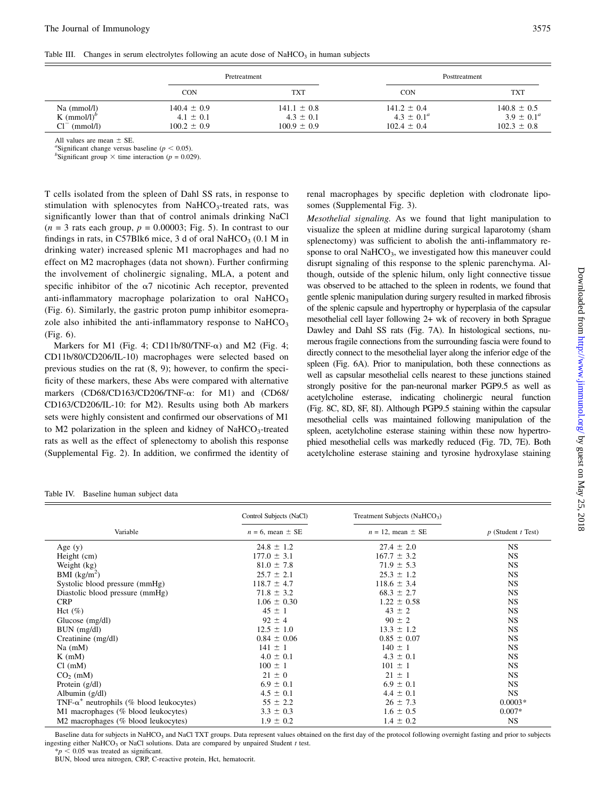Table III. Changes in serum electrolytes following an acute dose of NaHCO<sub>3</sub> in human subjects

|                                                           | Pretreatment                                        |                                                     | Posttreatment                                         |                                                       |
|-----------------------------------------------------------|-----------------------------------------------------|-----------------------------------------------------|-------------------------------------------------------|-------------------------------------------------------|
|                                                           | <b>CON</b>                                          | TXT                                                 | CON                                                   | <b>TXT</b>                                            |
| $Na \ (mmol/l)$<br>K $(mmol/l)^{b}$<br>$Cl^-$<br>(mmol/l) | $140.4 \pm 0.9$<br>$4.1 \pm 0.1$<br>$100.2 \pm 0.9$ | $141.1 \pm 0.8$<br>$4.3 \pm 0.1$<br>$100.9 \pm 0.9$ | $141.2 \pm 0.4$<br>$4.3 \pm 0.1^a$<br>$102.4 \pm 0.4$ | $140.8 \pm 0.5$<br>$3.9 \pm 0.1^a$<br>$102.3 \pm 0.8$ |

All values are mean  $\pm$  SE.

<sup>2</sup>Significant change versus baseline ( $p < 0.05$ ).

<sup>b</sup>Significant group  $\times$  time interaction (p = 0.029).

T cells isolated from the spleen of Dahl SS rats, in response to stimulation with splenocytes from  $NaHCO<sub>3</sub>$ -treated rats, was significantly lower than that of control animals drinking NaCl  $(n = 3$  rats each group,  $p = 0.00003$ ; Fig. 5). In contrast to our findings in rats, in C57Blk6 mice, 3 d of oral NaHCO<sub>3</sub> (0.1 M in drinking water) increased splenic M1 macrophages and had no effect on M2 macrophages (data not shown). Further confirming the involvement of cholinergic signaling, MLA, a potent and specific inhibitor of the  $\alpha$ 7 nicotinic Ach receptor, prevented anti-inflammatory macrophage polarization to oral  $NaHCO<sub>3</sub>$ (Fig. 6). Similarly, the gastric proton pump inhibitor esomeprazole also inhibited the anti-inflammatory response to  $NAHCO<sub>3</sub>$ (Fig. 6).

Markers for M1 (Fig. 4; CD11b/80/TNF- $\alpha$ ) and M2 (Fig. 4; CD11b/80/CD206/IL-10) macrophages were selected based on previous studies on the rat (8, 9); however, to confirm the specificity of these markers, these Abs were compared with alternative markers (CD68/CD163/CD206/TNF-a: for M1) and (CD68/ CD163/CD206/IL-10: for M2). Results using both Ab markers sets were highly consistent and confirmed our observations of M1 to M2 polarization in the spleen and kidney of  $NaHCO<sub>3</sub>$ -treated rats as well as the effect of splenectomy to abolish this response ([Supplemental Fig. 2\)](http://www.jimmunol.org/lookup/suppl/doi:10.4049/jimmunol.1701605/-/DCSupplemental). In addition, we confirmed the identity of renal macrophages by specific depletion with clodronate liposomes [\(Supplemental Fig. 3](http://www.jimmunol.org/lookup/suppl/doi:10.4049/jimmunol.1701605/-/DCSupplemental)).

Mesothelial signaling. As we found that light manipulation to visualize the spleen at midline during surgical laparotomy (sham splenectomy) was sufficient to abolish the anti-inflammatory response to oral  $\text{NaHCO}_3$ , we investigated how this maneuver could disrupt signaling of this response to the splenic parenchyma. Although, outside of the splenic hilum, only light connective tissue was observed to be attached to the spleen in rodents, we found that gentle splenic manipulation during surgery resulted in marked fibrosis of the splenic capsule and hypertrophy or hyperplasia of the capsular mesothelial cell layer following 2+ wk of recovery in both Sprague Dawley and Dahl SS rats (Fig. 7A). In histological sections, numerous fragile connections from the surrounding fascia were found to directly connect to the mesothelial layer along the inferior edge of the spleen (Fig. 6A). Prior to manipulation, both these connections as well as capsular mesothelial cells nearest to these junctions stained strongly positive for the pan-neuronal marker PGP9.5 as well as acetylcholine esterase, indicating cholinergic neural function (Fig. 8C, 8D, 8F, 8I). Although PGP9.5 staining within the capsular mesothelial cells was maintained following manipulation of the spleen, acetylcholine esterase staining within these now hypertrophied mesothelial cells was markedly reduced (Fig. 7D, 7E). Both acetylcholine esterase staining and tyrosine hydroxylase staining

Table IV. Baseline human subject data

|                                                  | Control Subjects (NaCl) | Treatment Subjects (NaHCO <sub>3</sub> ) |                        |
|--------------------------------------------------|-------------------------|------------------------------------------|------------------------|
| Variable                                         | $n = 6$ , mean $\pm$ SE | $n = 12$ , mean $\pm$ SE                 | $p$ (Student $t$ Test) |
| Age $(y)$                                        | $24.8 \pm 1.2$          | $27.4 \pm 2.0$                           | NS.                    |
| Height (cm)                                      | $177.0 \pm 3.1$         | $167.7 \pm 3.2$                          | <b>NS</b>              |
| Weight (kg)                                      | $81.0 \pm 7.8$          | $71.9 \pm 5.3$                           | NS.                    |
| BMI $(kg/m^2)$                                   | $25.7 \pm 2.1$          | $25.3 \pm 1.2$                           | <b>NS</b>              |
| Systolic blood pressure (mmHg)                   | $118.7 \pm 4.7$         | $118.6 \pm 3.4$                          | NS.                    |
| Diastolic blood pressure (mmHg)                  | $71.8 \pm 3.2$          | $68.3 \pm 2.7$                           | NS.                    |
| <b>CRP</b>                                       | $1.06 \pm 0.30$         | $1.22 \pm 0.58$                          | NS.                    |
| Hct $(\%)$                                       | $45 \pm 1$              | $43 \pm 2$                               | NS.                    |
| Glucose $(mg/dl)$                                | $92 \pm 4$              | $90 \pm 2$                               | <b>NS</b>              |
| $BUN$ (mg/dl)                                    | $12.5 \pm 1.0$          | $13.3 \pm 1.2$                           | <b>NS</b>              |
| Creatinine (mg/dl)                               | $0.84 \pm 0.06$         | $0.85 \pm 0.07$                          | <b>NS</b>              |
| $Na$ (mM)                                        | $141 \pm 1$             | $140 \pm 1$                              | <b>NS</b>              |
| $K$ (mM)                                         | $4.0 \pm 0.1$           | $4.3 \pm 0.1$                            | NS.                    |
| Cl (mM)                                          | $100 \pm 1$             | $101 \pm 1$                              | <b>NS</b>              |
| $CO2$ (mM)                                       | $21 \pm 0$              | $21 \pm 1$                               | NS.                    |
| Protein $(g/dl)$                                 | $6.9 \pm 0.1$           | $6.9 \pm 0.1$                            | <b>NS</b>              |
| Albumin $(g/dl)$                                 | $4.5 \pm 0.1$           | $4.4 \pm 0.1$                            | <b>NS</b>              |
| TNF- $\alpha^+$ neutrophils (% blood leukocytes) | $55 \pm 2.2$            | $26 \pm 7.3$                             | $0.0003*$              |
| M1 macrophages (% blood leukocytes)              | $3.3 \pm 0.3$           | $1.6 \pm 0.5$                            | $0.007*$               |
| M2 macrophages (% blood leukocytes)              | $1.9 \pm 0.2$           | $1.4 \pm 0.2$                            | <b>NS</b>              |

Baseline data for subjects in NaHCO<sub>3</sub> and NaCl TXT groups. Data represent values obtained on the first day of the protocol following overnight fasting and prior to subjects ingesting either NaHCO<sub>3</sub> or NaCl solutions. Data are compared by unpaired Student t test.

 $< 0.05$  was treated as significant.

BUN, blood urea nitrogen, CRP, C-reactive protein, Hct, hematocrit.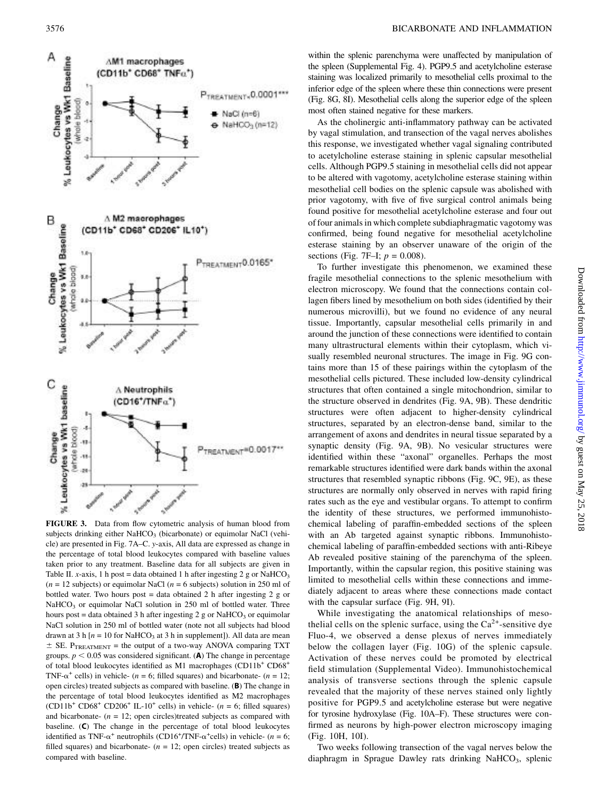

FIGURE 3. Data from flow cytometric analysis of human blood from subjects drinking either NaHCO<sub>3</sub> (bicarbonate) or equimolar NaCl (vehicle) are presented in Fig. 7A–C. y-axis, All data are expressed as change in the percentage of total blood leukocytes compared with baseline values taken prior to any treatment. Baseline data for all subjects are given in Table II. x-axis, 1 h post = data obtained 1 h after ingesting 2 g or NaHCO<sub>3</sub>  $(n = 12$  subjects) or equimolar NaCl  $(n = 6$  subjects) solution in 250 ml of bottled water. Two hours post  $=$  data obtained 2 h after ingesting 2 g or  $NaHCO<sub>3</sub>$  or equimolar NaCl solution in 250 ml of bottled water. Three hours post = data obtained 3 h after ingesting 2 g or NaHCO<sub>3</sub> or equimolar NaCl solution in 250 ml of bottled water (note not all subjects had blood drawn at 3 h  $[n = 10$  for NaHCO<sub>3</sub> at 3 h in supplement]). All data are mean  $\pm$  SE. P<sub>TREATMENT</sub> = the output of a two-way ANOVA comparing TXT groups.  $p < 0.05$  was considered significant. (A) The change in percentage of total blood leukocytes identified as M1 macrophages (CD11b<sup>+</sup> CD68<sup>+</sup> TNF- $\alpha^+$  cells) in vehicle- (n = 6; filled squares) and bicarbonate- (n = 12; open circles) treated subjects as compared with baseline. (B) The change in the percentage of total blood leukocytes identified as M2 macrophages  $(CD11b<sup>+</sup> CD68<sup>+</sup> CD206<sup>+</sup> IL-10<sup>+</sup> cells)$  in vehicle- (n = 6; filled squares) and bicarbonate-  $(n = 12;$  open circles)treated subjects as compared with baseline. (C) The change in the percentage of total blood leukocytes identified as TNF- $\alpha^+$  neutrophils (CD16<sup>+</sup>/TNF- $\alpha^+$ cells) in vehicle- (n = 6;<br>filled squares) and bicarbonate- (n = 12; open circles) treated subjects as filled squares) and bicarbonate-  $(n = 12;$  open circles) treated subjects as compared with baseline.

within the splenic parenchyma were unaffected by manipulation of the spleen ([Supplemental Fig. 4](http://www.jimmunol.org/lookup/suppl/doi:10.4049/jimmunol.1701605/-/DCSupplemental)). PGP9.5 and acetylcholine esterase staining was localized primarily to mesothelial cells proximal to the inferior edge of the spleen where these thin connections were present (Fig. 8G, 8I). Mesothelial cells along the superior edge of the spleen most often stained negative for these markers.

As the cholinergic anti-inflammatory pathway can be activated by vagal stimulation, and transection of the vagal nerves abolishes this response, we investigated whether vagal signaling contributed to acetylcholine esterase staining in splenic capsular mesothelial cells. Although PGP9.5 staining in mesothelial cells did not appear to be altered with vagotomy, acetylcholine esterase staining within mesothelial cell bodies on the splenic capsule was abolished with prior vagotomy, with five of five surgical control animals being found positive for mesothelial acetylcholine esterase and four out of four animals in which complete subdiaphragmatic vagotomy was confirmed, being found negative for mesothelial acetylcholine esterase staining by an observer unaware of the origin of the sections (Fig. 7F-I;  $p = 0.008$ ).

To further investigate this phenomenon, we examined these fragile mesothelial connections to the splenic mesothelium with electron microscopy. We found that the connections contain collagen fibers lined by mesothelium on both sides (identified by their numerous microvilli), but we found no evidence of any neural tissue. Importantly, capsular mesothelial cells primarily in and around the junction of these connections were identified to contain many ultrastructural elements within their cytoplasm, which visually resembled neuronal structures. The image in Fig. 9G contains more than 15 of these pairings within the cytoplasm of the mesothelial cells pictured. These included low-density cylindrical structures that often contained a single mitochondrion, similar to the structure observed in dendrites (Fig. 9A, 9B). These dendritic structures were often adjacent to higher-density cylindrical structures, separated by an electron-dense band, similar to the arrangement of axons and dendrites in neural tissue separated by a synaptic density (Fig. 9A, 9B). No vesicular structures were identified within these "axonal" organelles. Perhaps the most remarkable structures identified were dark bands within the axonal structures that resembled synaptic ribbons (Fig. 9C, 9E), as these structures are normally only observed in nerves with rapid firing rates such as the eye and vestibular organs. To attempt to confirm the identity of these structures, we performed immunohistochemical labeling of paraffin-embedded sections of the spleen with an Ab targeted against synaptic ribbons. Immunohistochemical labeling of paraffin-embedded sections with anti-Ribeye Ab revealed positive staining of the parenchyma of the spleen. Importantly, within the capsular region, this positive staining was limited to mesothelial cells within these connections and immediately adjacent to areas where these connections made contact with the capsular surface (Fig. 9H, 9I).

While investigating the anatomical relationships of mesothelial cells on the splenic surface, using the  $Ca^{2+}$ -sensitive dye Fluo-4, we observed a dense plexus of nerves immediately below the collagen layer (Fig. 10G) of the splenic capsule. Activation of these nerves could be promoted by electrical field stimulation ([Supplemental Video](http://www.jimmunol.org/lookup/suppl/doi:10.4049/jimmunol.1701605/-/DCSupplemental)). Immunohistochemical analysis of transverse sections through the splenic capsule revealed that the majority of these nerves stained only lightly positive for PGP9.5 and acetylcholine esterase but were negative for tyrosine hydroxylase (Fig. 10A–F). These structures were confirmed as neurons by high-power electron microscopy imaging (Fig. 10H, 10I).

Two weeks following transection of the vagal nerves below the diaphragm in Sprague Dawley rats drinking NaHCO<sub>3</sub>, splenic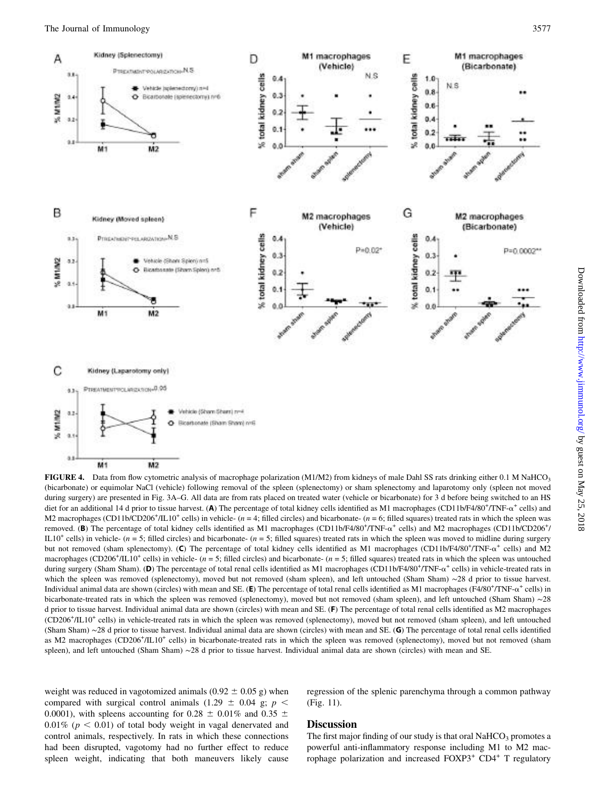

FIGURE 4. Data from flow cytometric analysis of macrophage polarization (M1/M2) from kidneys of male Dahl SS rats drinking either 0.1 M NaHCO<sub>3</sub> (bicarbonate) or equimolar NaCl (vehicle) following removal of the spleen (splenectomy) or sham splenectomy and laparotomy only (spleen not moved during surgery) are presented in Fig. 3A–G. All data are from rats placed on treated water (vehicle or bicarbonate) for 3 d before being switched to an HS diet for an additional 14 d prior to tissue harvest. (A) The percentage of total kidney cells identified as M1 macrophages (CD11b/F4/80<sup>+</sup>/TNF- $\alpha^+$  cells) and<br>M2 macrophages (CD11b/CD206<sup>+</sup>/II 10<sup>+</sup> cells) in vabicle, ( M2 macrophages (CD11b/CD206<sup>+</sup>/IL10<sup>+</sup> cells) in vehicle- ( $n = 4$ ; filled circles) and bicarbonate- ( $n = 6$ ; filled squares) treated rats in which the spleen was removed. (B) The percentage of total kidney cells identified as M1 macrophages (CD11b/F4/80<sup>+</sup>/TNF- $\alpha^+$  cells) and M2 macrophages (CD11b/CD206<sup>+</sup>/<br>II 10<sup>+</sup> cells) in vahicle (n = 5: filled circles) and bicarbonate (n =  $IL10<sup>+</sup>$  cells) in vehicle- (n = 5; filled circles) and bicarbonate- (n = 5; filled squares) treated rats in which the spleen was moved to midline during surgery but not removed (sham splenectomy). (C) The percentage of total kidney cells identified as M1 macrophages (CD11b/F4/80<sup>+</sup>/TNF- $\alpha^+$  cells) and M2<br>macrophages (CD206<sup>+</sup>/H 10<sup>+</sup> cells) in vabicle (n = 5; filled circles) an macrophages (CD206<sup>+</sup>/IL10<sup>+</sup> cells) in vehicle- ( $n = 5$ ; filled circles) and bicarbonate- ( $n = 5$ ; filled squares) treated rats in which the spleen was untouched during surgery (Sham Sham). (**D**) The percentage of total renal cells identified as M1 macrophages (CD11b/F4/80<sup>+</sup>/TNF- $\alpha^+$  cells) in vehicle-treated rats in<br>which the spleen was removed (splenectomy), moved but not remo which the spleen was removed (splenectomy), moved but not removed (sham spleen), and left untouched (Sham Sham) ∼28 d prior to tissue harvest. Individual animal data are shown (circles) with mean and SE. (E) The percentage of total renal cells identified as M1 macrophages (F4/80<sup>+</sup>/TNF- $\alpha^+$  cells) in<br>bicarbonate-treated rats in which the spleen was removed (sp bicarbonate-treated rats in which the spleen was removed (splenectomy), moved but not removed (sham spleen), and left untouched (Sham Sham) ∼28 d prior to tissue harvest. Individual animal data are shown (circles) with mean and SE. (F) The percentage of total renal cells identified as M2 macrophages (CD206+ /IL10+ cells) in vehicle-treated rats in which the spleen was removed (splenectomy), moved but not removed (sham spleen), and left untouched (Sham Sham) ∼28 d prior to tissue harvest. Individual animal data are shown (circles) with mean and SE. (G) The percentage of total renal cells identified as M2 macrophages (CD206<sup>+</sup>/IL10<sup>+</sup> cells) in bicarbonate-treated rats in which the spleen was removed (splenectomy), moved but not removed (sham spleen), and left untouched (Sham Sham) ∼28 d prior to tissue harvest. Individual animal data are shown (circles) with mean and SE.

weight was reduced in vagotomized animals (0.92  $\pm$  0.05 g) when compared with surgical control animals (1.29  $\pm$  0.04 g; p < 0.0001), with spleens accounting for 0.28  $\pm$  0.01% and 0.35  $\pm$  $0.01\%$  ( $p < 0.01$ ) of total body weight in vagal denervated and control animals, respectively. In rats in which these connections had been disrupted, vagotomy had no further effect to reduce spleen weight, indicating that both maneuvers likely cause regression of the splenic parenchyma through a common pathway (Fig. 11).

# **Discussion**

The first major finding of our study is that oral  $NAHCO<sub>3</sub>$  promotes a powerful anti-inflammatory response including M1 to M2 macrophage polarization and increased FOXP3<sup>+</sup> CD4<sup>+</sup> T regulatory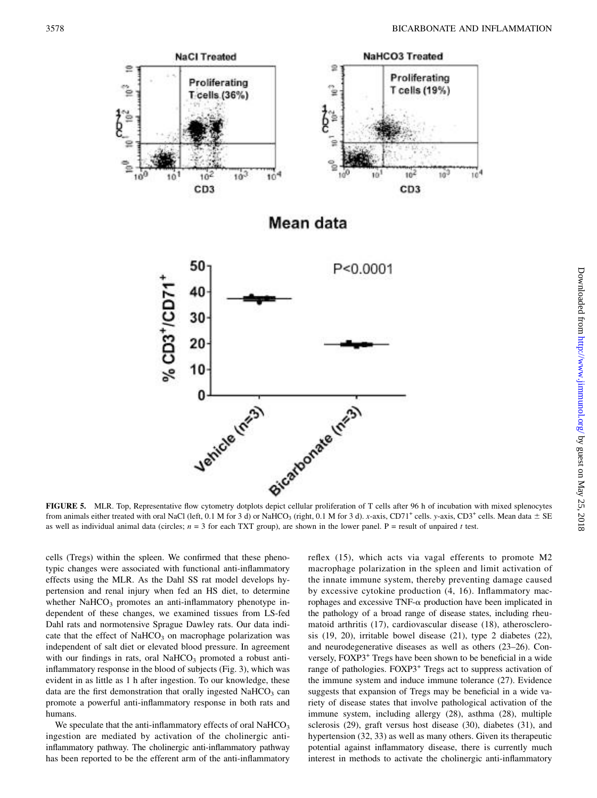

from animals either treated with oral NaCl (left, 0.1 M for 3 d) or NaHCO<sub>3</sub> (right, 0.1 M for 3 d). x-axis, CD71<sup>+</sup> cells. y-axis, CD3<sup>+</sup> cells. Mean data  $\pm$  SE as well as individual animal data (circles;  $n = 3$  for each TXT group), are shown in the lower panel. P = result of unpaired t test.

cells (Tregs) within the spleen. We confirmed that these phenotypic changes were associated with functional anti-inflammatory effects using the MLR. As the Dahl SS rat model develops hypertension and renal injury when fed an HS diet, to determine whether  $NaHCO<sub>3</sub>$  promotes an anti-inflammatory phenotype independent of these changes, we examined tissues from LS-fed Dahl rats and normotensive Sprague Dawley rats. Our data indicate that the effect of NaHCO<sub>3</sub> on macrophage polarization was independent of salt diet or elevated blood pressure. In agreement with our findings in rats, oral  $NaHCO<sub>3</sub>$  promoted a robust antiinflammatory response in the blood of subjects (Fig. 3), which was evident in as little as 1 h after ingestion. To our knowledge, these data are the first demonstration that orally ingested  $NaHCO<sub>3</sub>$  can promote a powerful anti-inflammatory response in both rats and humans.

We speculate that the anti-inflammatory effects of oral  $NAHCO<sub>3</sub>$ ingestion are mediated by activation of the cholinergic antiinflammatory pathway. The cholinergic anti-inflammatory pathway has been reported to be the efferent arm of the anti-inflammatory reflex (15), which acts via vagal efferents to promote M2 macrophage polarization in the spleen and limit activation of the innate immune system, thereby preventing damage caused by excessive cytokine production (4, 16). Inflammatory macrophages and excessive TNF- $\alpha$  production have been implicated in the pathology of a broad range of disease states, including rheumatoid arthritis (17), cardiovascular disease (18), atherosclerosis (19, 20), irritable bowel disease (21), type 2 diabetes (22), and neurodegenerative diseases as well as others (23–26). Conversely, FOXP3<sup>+</sup> Tregs have been shown to be beneficial in a wide range of pathologies. FOXP3<sup>+</sup> Tregs act to suppress activation of the immune system and induce immune tolerance (27). Evidence suggests that expansion of Tregs may be beneficial in a wide variety of disease states that involve pathological activation of the immune system, including allergy (28), asthma (28), multiple sclerosis (29), graft versus host disease (30), diabetes (31), and hypertension (32, 33) as well as many others. Given its therapeutic potential against inflammatory disease, there is currently much interest in methods to activate the cholinergic anti-inflammatory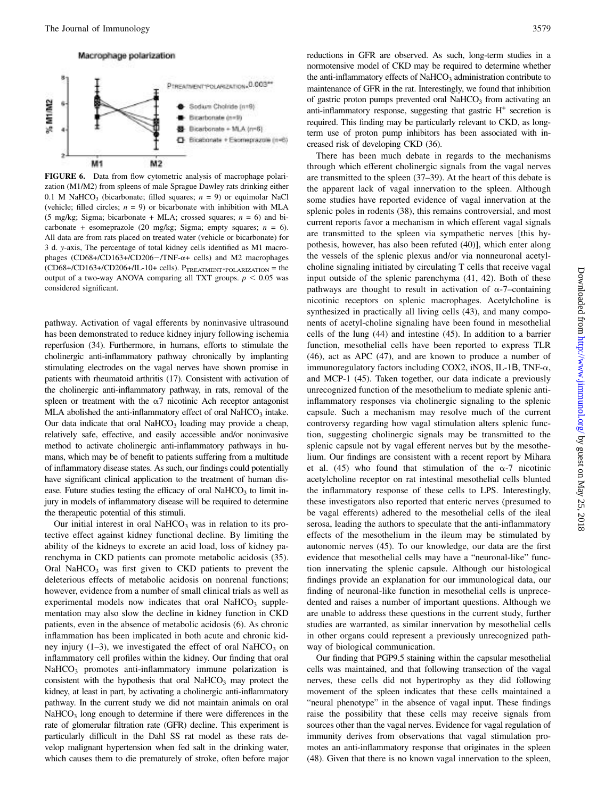#### Macrophage polarization



FIGURE 6. Data from flow cytometric analysis of macrophage polarization (M1/M2) from spleens of male Sprague Dawley rats drinking either 0.1 M NaHCO<sub>3</sub> (bicarbonate; filled squares;  $n = 9$ ) or equimolar NaCl (vehicle; filled circles;  $n = 9$ ) or bicarbonate with inhibition with MLA (5 mg/kg; Sigma; bicarbonate + MLA; crossed squares;  $n = 6$ ) and bicarbonate + esomeprazole (20 mg/kg; Sigma; empty squares;  $n = 6$ ). All data are from rats placed on treated water (vehicle or bicarbonate) for 3 d. y-axis, The percentage of total kidney cells identified as M1 macrophages (CD68+/CD163+/CD206-/TNF- $\alpha$ + cells) and M2 macrophages  $(CD68+/CD163+/CD206+/IL-10+ cells)$ .  $P_{TREATMENT*POLARIZATION} = the$ output of a two-way ANOVA comparing all TXT groups.  $p < 0.05$  was considered significant.

pathway. Activation of vagal efferents by noninvasive ultrasound has been demonstrated to reduce kidney injury following ischemia reperfusion (34). Furthermore, in humans, efforts to stimulate the cholinergic anti-inflammatory pathway chronically by implanting stimulating electrodes on the vagal nerves have shown promise in patients with rheumatoid arthritis (17). Consistent with activation of the cholinergic anti-inflammatory pathway, in rats, removal of the spleen or treatment with the  $\alpha$ 7 nicotinic Ach receptor antagonist MLA abolished the anti-inflammatory effect of oral  $NaHCO<sub>3</sub>$  intake. Our data indicate that oral NaHCO<sub>3</sub> loading may provide a cheap, relatively safe, effective, and easily accessible and/or noninvasive method to activate cholinergic anti-inflammatory pathways in humans, which may be of benefit to patients suffering from a multitude of inflammatory disease states. As such, our findings could potentially have significant clinical application to the treatment of human disease. Future studies testing the efficacy of oral  $NaHCO<sub>3</sub>$  to limit injury in models of inflammatory disease will be required to determine the therapeutic potential of this stimuli.

Our initial interest in oral NaHCO<sub>3</sub> was in relation to its protective effect against kidney functional decline. By limiting the ability of the kidneys to excrete an acid load, loss of kidney parenchyma in CKD patients can promote metabolic acidosis (35). Oral NaHCO<sub>3</sub> was first given to CKD patients to prevent the deleterious effects of metabolic acidosis on nonrenal functions; however, evidence from a number of small clinical trials as well as experimental models now indicates that oral  $NaHCO<sub>3</sub>$  supplementation may also slow the decline in kidney function in CKD patients, even in the absence of metabolic acidosis (6). As chronic inflammation has been implicated in both acute and chronic kidney injury  $(1-3)$ , we investigated the effect of oral NaHCO<sub>3</sub> on inflammatory cell profiles within the kidney. Our finding that oral NaHCO<sub>3</sub> promotes anti-inflammatory immune polarization is consistent with the hypothesis that oral  $NaHCO<sub>3</sub>$  may protect the kidney, at least in part, by activating a cholinergic anti-inflammatory pathway. In the current study we did not maintain animals on oral  $NaHCO<sub>3</sub>$  long enough to determine if there were differences in the rate of glomerular filtration rate (GFR) decline. This experiment is particularly difficult in the Dahl SS rat model as these rats develop malignant hypertension when fed salt in the drinking water, which causes them to die prematurely of stroke, often before major reductions in GFR are observed. As such, long-term studies in a normotensive model of CKD may be required to determine whether the anti-inflammatory effects of  $NAHCO<sub>3</sub>$  administration contribute to maintenance of GFR in the rat. Interestingly, we found that inhibition of gastric proton pumps prevented oral  $NaHCO<sub>3</sub>$  from activating an anti-inflammatory response, suggesting that gastric  $H^+$  secretion is required. This finding may be particularly relevant to CKD, as longterm use of proton pump inhibitors has been associated with increased risk of developing CKD (36).

There has been much debate in regards to the mechanisms through which efferent cholinergic signals from the vagal nerves are transmitted to the spleen (37–39). At the heart of this debate is the apparent lack of vagal innervation to the spleen. Although some studies have reported evidence of vagal innervation at the splenic poles in rodents (38), this remains controversial, and most current reports favor a mechanism in which efferent vagal signals are transmitted to the spleen via sympathetic nerves [this hypothesis, however, has also been refuted (40)], which enter along the vessels of the splenic plexus and/or via nonneuronal acetylcholine signaling initiated by circulating T cells that receive vagal input outside of the splenic parenchyma (41, 42). Both of these pathways are thought to result in activation of  $\alpha$ -7–containing nicotinic receptors on splenic macrophages. Acetylcholine is synthesized in practically all living cells (43), and many components of acetyl-choline signaling have been found in mesothelial cells of the lung (44) and intestine (45). In addition to a barrier function, mesothelial cells have been reported to express TLR (46), act as APC (47), and are known to produce a number of immunoregulatory factors including COX2, iNOS, IL-1Β, TNF-a, and MCP-1 (45). Taken together, our data indicate a previously unrecognized function of the mesothelium to mediate splenic antiinflammatory responses via cholinergic signaling to the splenic capsule. Such a mechanism may resolve much of the current controversy regarding how vagal stimulation alters splenic function, suggesting cholinergic signals may be transmitted to the splenic capsule not by vagal efferent nerves but by the mesothelium. Our findings are consistent with a recent report by Mihara et al. (45) who found that stimulation of the  $\alpha$ -7 nicotinic acetylcholine receptor on rat intestinal mesothelial cells blunted the inflammatory response of these cells to LPS. Interestingly, these investigators also reported that enteric nerves (presumed to be vagal efferents) adhered to the mesothelial cells of the ileal serosa, leading the authors to speculate that the anti-inflammatory effects of the mesothelium in the ileum may be stimulated by autonomic nerves (45). To our knowledge, our data are the first evidence that mesothelial cells may have a "neuronal-like" function innervating the splenic capsule. Although our histological findings provide an explanation for our immunological data, our finding of neuronal-like function in mesothelial cells is unprecedented and raises a number of important questions. Although we are unable to address these questions in the current study, further studies are warranted, as similar innervation by mesothelial cells in other organs could represent a previously unrecognized pathway of biological communication.

Our finding that PGP9.5 staining within the capsular mesothelial cells was maintained, and that following transection of the vagal nerves, these cells did not hypertrophy as they did following movement of the spleen indicates that these cells maintained a "neural phenotype" in the absence of vagal input. These findings raise the possibility that these cells may receive signals from sources other than the vagal nerves. Evidence for vagal regulation of immunity derives from observations that vagal stimulation promotes an anti-inflammatory response that originates in the spleen (48). Given that there is no known vagal innervation to the spleen,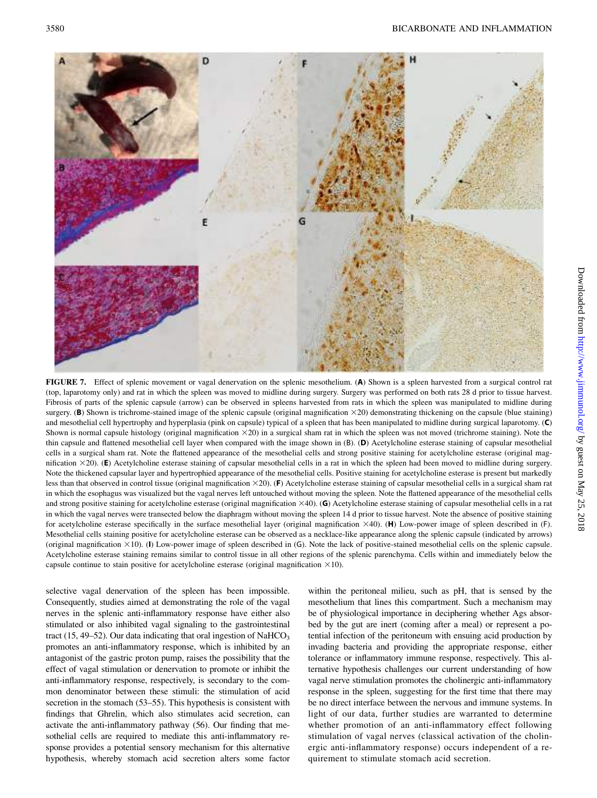

FIGURE 7. Effect of splenic movement or vagal denervation on the splenic mesothelium. (A) Shown is a spleen harvested from a surgical control rat (top, laparotomy only) and rat in which the spleen was moved to midline during surgery. Surgery was performed on both rats 28 d prior to tissue harvest. Fibrosis of parts of the splenic capsule (arrow) can be observed in spleens harvested from rats in which the spleen was manipulated to midline during surgery. (B) Shown is trichrome-stained image of the splenic capsule (original magnification  $\times$ 20) demonstrating thickening on the capsule (blue staining) and mesothelial cell hypertrophy and hyperplasia (pink on capsule) typical of a spleen that has been manipulated to midline during surgical laparotomy. (C) Shown is normal capsule histology (original magnification  $\times 20$ ) in a surgical sham rat in which the spleen was not moved (trichrome staining). Note the thin capsule and flattened mesothelial cell layer when compared with the image shown in (B). (D) Acetylcholine esterase staining of capsular mesothelial cells in a surgical sham rat. Note the flattened appearance of the mesothelial cells and strong positive staining for acetylcholine esterase (original magnification  $\times$ 20). (E) Acetylcholine esterase staining of capsular mesothelial cells in a rat in which the spleen had been moved to midline during surgery. Note the thickened capsular layer and hypertrophied appearance of the mesothelial cells. Positive staining for acetylcholine esterase is present but markedly less than that observed in control tissue (original magnification  $\times 20$ ). (F) Acetylcholine esterase staining of capsular mesothelial cells in a surgical sham rat in which the esophagus was visualized but the vagal nerves left untouched without moving the spleen. Note the flattened appearance of the mesothelial cells and strong positive staining for acetylcholine esterase (original magnification  $\times$ 40). (G) Acetylcholine esterase staining of capsular mesothelial cells in a rat in which the vagal nerves were transected below the diaphragm without moving the spleen 14 d prior to tissue harvest. Note the absence of positive staining for acetylcholine esterase specifically in the surface mesothelial layer (original magnification  $\times$ 40). (H) Low-power image of spleen described in (F). Mesothelial cells staining positive for acetylcholine esterase can be observed as a necklace-like appearance along the splenic capsule (indicated by arrows) (original magnification  $\times$ 10). (I) Low-power image of spleen described in (G). Note the lack of positive-stained mesothelial cells on the splenic capsule. Acetylcholine esterase staining remains similar to control tissue in all other regions of the splenic parenchyma. Cells within and immediately below the capsule continue to stain positive for acetylcholine esterase (original magnification  $\times$ 10).

selective vagal denervation of the spleen has been impossible. Consequently, studies aimed at demonstrating the role of the vagal nerves in the splenic anti-inflammatory response have either also stimulated or also inhibited vagal signaling to the gastrointestinal tract (15, 49–52). Our data indicating that oral ingestion of NaHCO<sub>3</sub> promotes an anti-inflammatory response, which is inhibited by an antagonist of the gastric proton pump, raises the possibility that the effect of vagal stimulation or denervation to promote or inhibit the anti-inflammatory response, respectively, is secondary to the common denominator between these stimuli: the stimulation of acid secretion in the stomach (53–55). This hypothesis is consistent with findings that Ghrelin, which also stimulates acid secretion, can activate the anti-inflammatory pathway (56). Our finding that mesothelial cells are required to mediate this anti-inflammatory response provides a potential sensory mechanism for this alternative hypothesis, whereby stomach acid secretion alters some factor

within the peritoneal milieu, such as pH, that is sensed by the mesothelium that lines this compartment. Such a mechanism may be of physiological importance in deciphering whether Ags absorbed by the gut are inert (coming after a meal) or represent a potential infection of the peritoneum with ensuing acid production by invading bacteria and providing the appropriate response, either tolerance or inflammatory immune response, respectively. This alternative hypothesis challenges our current understanding of how vagal nerve stimulation promotes the cholinergic anti-inflammatory response in the spleen, suggesting for the first time that there may be no direct interface between the nervous and immune systems. In light of our data, further studies are warranted to determine whether promotion of an anti-inflammatory effect following stimulation of vagal nerves (classical activation of the cholinergic anti-inflammatory response) occurs independent of a requirement to stimulate stomach acid secretion.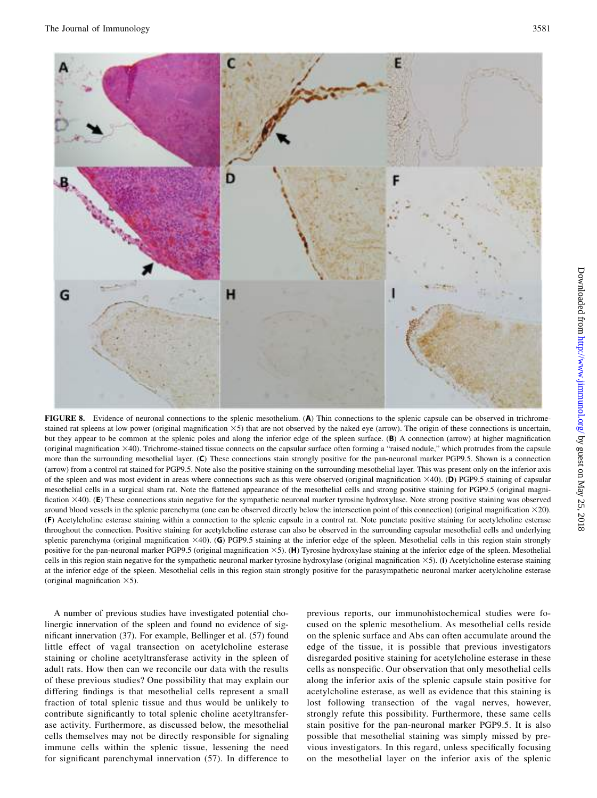

FIGURE 8. Evidence of neuronal connections to the splenic mesothelium. (A) Thin connections to the splenic capsule can be observed in trichromestained rat spleens at low power (original magnification  $\times$ 5) that are not observed by the naked eye (arrow). The origin of these connections is uncertain, but they appear to be common at the splenic poles and along the inferior edge of the spleen surface. (B) A connection (arrow) at higher magnification (original magnification 340). Trichrome-stained tissue connects on the capsular surface often forming a "raised nodule," which protrudes from the capsule more than the surrounding mesothelial layer. (C) These connections stain strongly positive for the pan-neuronal marker PGP9.5. Shown is a connection (arrow) from a control rat stained for PGP9.5. Note also the positive staining on the surrounding mesothelial layer. This was present only on the inferior axis of the spleen and was most evident in areas where connections such as this were observed (original magnification  $\times$ 40). (D) PGP9.5 staining of capsular mesothelial cells in a surgical sham rat. Note the flattened appearance of the mesothelial cells and strong positive staining for PGP9.5 (original magnification  $\times$ 40). (E) These connections stain negative for the sympathetic neuronal marker tyrosine hydroxylase. Note strong positive staining was observed around blood vessels in the splenic parenchyma (one can be observed directly below the intersection point of this connection) (original magnification  $\times$ 20). (F) Acetylcholine esterase staining within a connection to the splenic capsule in a control rat. Note punctate positive staining for acetylcholine esterase throughout the connection. Positive staining for acetylcholine esterase can also be observed in the surrounding capsular mesothelial cells and underlying splenic parenchyma (original magnification  $\times$ 40). (G) PGP9.5 staining at the inferior edge of the spleen. Mesothelial cells in this region stain strongly positive for the pan-neuronal marker PGP9.5 (original magnification  $\times$ 5). (H) Tyrosine hydroxylase staining at the inferior edge of the spleen. Mesothelial cells in this region stain negative for the sympathetic neuronal marker tyrosine hydroxylase (original magnification 35). (I) Acetylcholine esterase staining at the inferior edge of the spleen. Mesothelial cells in this region stain strongly positive for the parasympathetic neuronal marker acetylcholine esterase (original magnification  $\times$ 5).

A number of previous studies have investigated potential cholinergic innervation of the spleen and found no evidence of significant innervation (37). For example, Bellinger et al. (57) found little effect of vagal transection on acetylcholine esterase staining or choline acetyltransferase activity in the spleen of adult rats. How then can we reconcile our data with the results of these previous studies? One possibility that may explain our differing findings is that mesothelial cells represent a small fraction of total splenic tissue and thus would be unlikely to contribute significantly to total splenic choline acetyltransferase activity. Furthermore, as discussed below, the mesothelial cells themselves may not be directly responsible for signaling immune cells within the splenic tissue, lessening the need for significant parenchymal innervation (57). In difference to

previous reports, our immunohistochemical studies were focused on the splenic mesothelium. As mesothelial cells reside on the splenic surface and Abs can often accumulate around the edge of the tissue, it is possible that previous investigators disregarded positive staining for acetylcholine esterase in these cells as nonspecific. Our observation that only mesothelial cells along the inferior axis of the splenic capsule stain positive for acetylcholine esterase, as well as evidence that this staining is lost following transection of the vagal nerves, however, strongly refute this possibility. Furthermore, these same cells stain positive for the pan-neuronal marker PGP9.5. It is also possible that mesothelial staining was simply missed by previous investigators. In this regard, unless specifically focusing on the mesothelial layer on the inferior axis of the splenic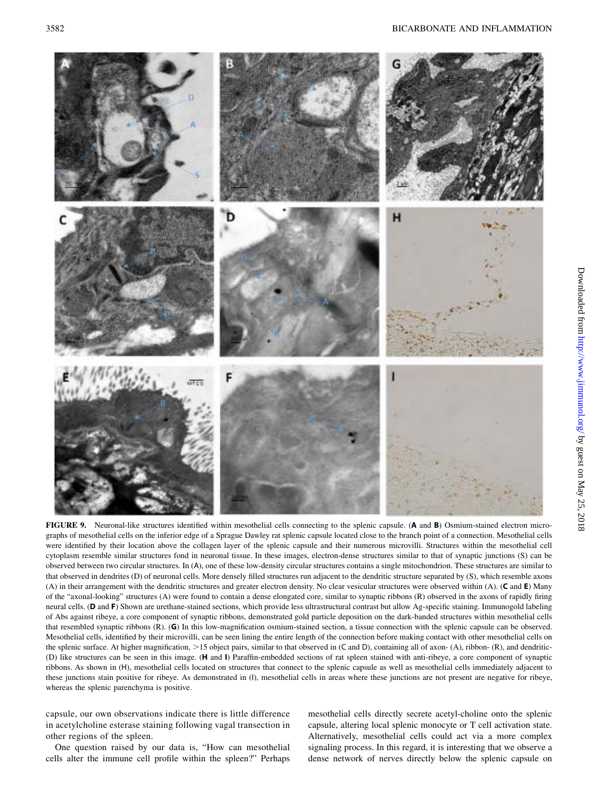

FIGURE 9. Neuronal-like structures identified within mesothelial cells connecting to the splenic capsule. (A and B) Osmium-stained electron micrographs of mesothelial cells on the inferior edge of a Sprague Dawley rat splenic capsule located close to the branch point of a connection. Mesothelial cells were identified by their location above the collagen layer of the splenic capsule and their numerous microvilli. Structures within the mesothelial cell cytoplasm resemble similar structures fond in neuronal tissue. In these images, electron-dense structures similar to that of synaptic junctions (S) can be observed between two circular structures. In (A), one of these low-density circular structures contains a single mitochondrion. These structures are similar to that observed in dendrites (D) of neuronal cells. More densely filled structures run adjacent to the dendritic structure separated by (S), which resemble axons (A) in their arrangement with the dendritic structures and greater electron density. No clear vesicular structures were observed within (A). (C and E) Many of the "axonal-looking" structures (A) were found to contain a dense elongated core, similar to synaptic ribbons (R) observed in the axons of rapidly firing neural cells. (D and F) Shown are urethane-stained sections, which provide less ultrastructural contrast but allow Ag-specific staining. Immunogold labeling of Abs against ribeye, a core component of synaptic ribbons, demonstrated gold particle deposition on the dark-banded structures within mesothelial cells that resembled synaptic ribbons (R). (G) In this low-magnification osmium-stained section, a tissue connection with the splenic capsule can be observed. Mesothelial cells, identified by their microvilli, can be seen lining the entire length of the connection before making contact with other mesothelial cells on the splenic surface. At higher magnification,  $>15$  object pairs, similar to that observed in (C and D), containing all of axon- (A), ribbon- (R), and dendritic-(D) like structures can be seen in this image. (H and I) Paraffin-embedded sections of rat spleen stained with anti-ribeye, a core component of synaptic ribbons. As shown in (H), mesothelial cells located on structures that connect to the splenic capsule as well as mesothelial cells immediately adjacent to these junctions stain positive for ribeye. As demonstrated in (I), mesothelial cells in areas where these junctions are not present are negative for ribeye, whereas the splenic parenchyma is positive.

capsule, our own observations indicate there is little difference in acetylcholine esterase staining following vagal transection in other regions of the spleen.

One question raised by our data is, "How can mesothelial cells alter the immune cell profile within the spleen?" Perhaps mesothelial cells directly secrete acetyl-choline onto the splenic capsule, altering local splenic monocyte or T cell activation state. Alternatively, mesothelial cells could act via a more complex signaling process. In this regard, it is interesting that we observe a dense network of nerves directly below the splenic capsule on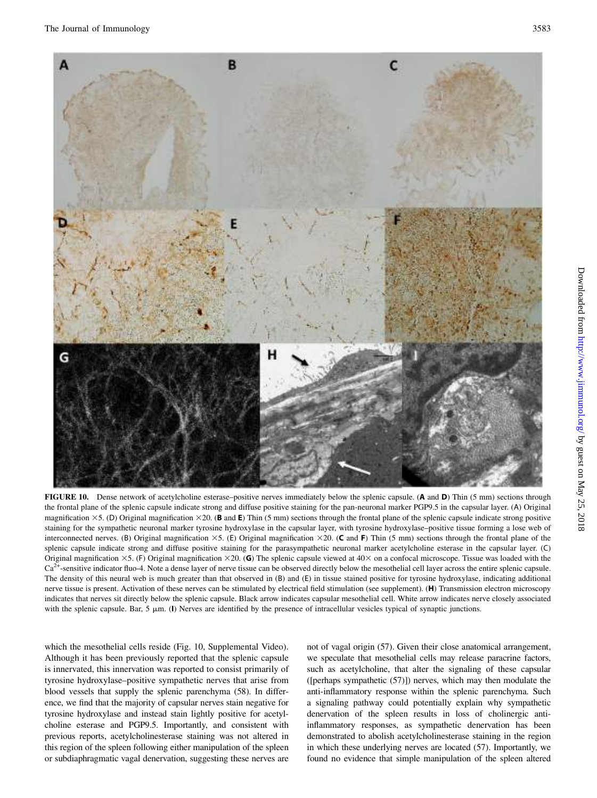

FIGURE 10. Dense network of acetylcholine esterase–positive nerves immediately below the splenic capsule. (A and D) Thin (5 mm) sections through the frontal plane of the splenic capsule indicate strong and diffuse positive staining for the pan-neuronal marker PGP9.5 in the capsular layer. (A) Original magnification  $\times$ 5. (D) Original magnification  $\times$ 20. (B and E) Thin (5 mm) sections through the frontal plane of the splenic capsule indicate strong positive staining for the sympathetic neuronal marker tyrosine hydroxylase in the capsular layer, with tyrosine hydroxylase–positive tissue forming a lose web of interconnected nerves. (B) Original magnification  $\times$ 5. (E) Original magnification  $\times$ 20. (C and F) Thin (5 mm) sections through the frontal plane of the splenic capsule indicate strong and diffuse positive staining for the parasympathetic neuronal marker acetylcholine esterase in the capsular layer. (C) Original magnification  $\times$ 5. (F) Original magnification  $\times$ 20. (G) The splenic capsule viewed at 40 $\times$  on a confocal microscope. Tissue was loaded with the  $Ca<sup>2+</sup>$ -sensitive indicator fluo-4. Note a dense layer of nerve tissue can be observed directly below the mesothelial cell layer across the entire splenic capsule. The density of this neural web is much greater than that observed in (B) and (E) in tissue stained positive for tyrosine hydroxylase, indicating additional nerve tissue is present. Activation of these nerves can be stimulated by electrical field stimulation (see supplement). (H) Transmission electron microscopy indicates that nerves sit directly below the splenic capsule. Black arrow indicates capsular mesothelial cell. White arrow indicates nerve closely associated with the splenic capsule. Bar,  $5 \mu m$ . (I) Nerves are identified by the presence of intracellular vesicles typical of synaptic junctions.

which the mesothelial cells reside (Fig. 10, [Supplemental Video\)](http://www.jimmunol.org/lookup/suppl/doi:10.4049/jimmunol.1701605/-/DCSupplemental). Although it has been previously reported that the splenic capsule is innervated, this innervation was reported to consist primarily of tyrosine hydroxylase–positive sympathetic nerves that arise from blood vessels that supply the splenic parenchyma (58). In difference, we find that the majority of capsular nerves stain negative for tyrosine hydroxylase and instead stain lightly positive for acetylcholine esterase and PGP9.5. Importantly, and consistent with previous reports, acetylcholinesterase staining was not altered in this region of the spleen following either manipulation of the spleen or subdiaphragmatic vagal denervation, suggesting these nerves are

not of vagal origin (57). Given their close anatomical arrangement, we speculate that mesothelial cells may release paracrine factors, such as acetylcholine, that alter the signaling of these capsular ([perhaps sympathetic (57)]) nerves, which may then modulate the anti-inflammatory response within the splenic parenchyma. Such a signaling pathway could potentially explain why sympathetic denervation of the spleen results in loss of cholinergic antiinflammatory responses, as sympathetic denervation has been demonstrated to abolish acetylcholinesterase staining in the region in which these underlying nerves are located (57). Importantly, we found no evidence that simple manipulation of the spleen altered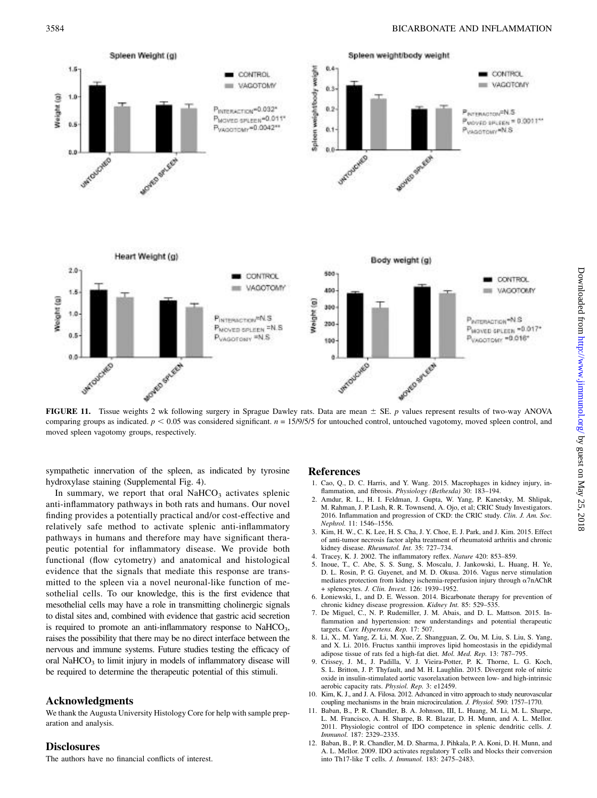

FIGURE 11. Tissue weights 2 wk following surgery in Sprague Dawley rats. Data are mean  $\pm$  SE. p values represent results of two-way ANOVA comparing groups as indicated.  $p < 0.05$  was considered significant.  $n = 15/9/5/5$  for untouched control, untouched vagotomy, moved spleen control, and moved spleen vagotomy groups, respectively.

sympathetic innervation of the spleen, as indicated by tyrosine hydroxylase staining [\(Supplemental Fig. 4\)](http://www.jimmunol.org/lookup/suppl/doi:10.4049/jimmunol.1701605/-/DCSupplemental).

In summary, we report that oral  $NaHCO<sub>3</sub>$  activates splenic anti-inflammatory pathways in both rats and humans. Our novel finding provides a potentially practical and/or cost-effective and relatively safe method to activate splenic anti-inflammatory pathways in humans and therefore may have significant therapeutic potential for inflammatory disease. We provide both functional (flow cytometry) and anatomical and histological evidence that the signals that mediate this response are transmitted to the spleen via a novel neuronal-like function of mesothelial cells. To our knowledge, this is the first evidence that mesothelial cells may have a role in transmitting cholinergic signals to distal sites and, combined with evidence that gastric acid secretion is required to promote an anti-inflammatory response to  $NaHCO<sub>3</sub>$ , raises the possibility that there may be no direct interface between the nervous and immune systems. Future studies testing the efficacy of oral NaHCO<sub>3</sub> to limit injury in models of inflammatory disease will be required to determine the therapeutic potential of this stimuli.

## Acknowledgments

We thank the Augusta University Histology Core for help with sample preparation and analysis.

# **Disclosures**

The authors have no financial conflicts of interest.

# References

- 1. Cao, Q., D. C. Harris, and Y. Wang. 2015. Macrophages in kidney injury, inflammation, and fibrosis. Physiology (Bethesda) 30: 183–194.
- 2. Amdur, R. L., H. I. Feldman, J. Gupta, W. Yang, P. Kanetsky, M. Shlipak, M. Rahman, J. P. Lash, R. R. Townsend, A. Ojo, et al; CRIC Study Investigators. 2016. Inflammation and progression of CKD: the CRIC study. Clin. J. Am. Soc. Nephrol. 11: 1546–1556.
- 3. Kim, H. W., C. K. Lee, H. S. Cha, J. Y. Choe, E. J. Park, and J. Kim. 2015. Effect of anti-tumor necrosis factor alpha treatment of rheumatoid arthritis and chronic kidney disease. Rheumatol. Int. 35: 727–734.
- 4. Tracey, K. J. 2002. The inflammatory reflex. Nature 420: 853–859.
- 5. Inoue, T., C. Abe, S. S. Sung, S. Moscalu, J. Jankowski, L. Huang, H. Ye, D. L. Rosin, P. G. Guyenet, and M. D. Okusa. 2016. Vagus nerve stimulation mediates protection from kidney ischemia-reperfusion injury through a7nAChR + splenocytes. J. Clin. Invest. 126: 1939–1952.
- 6. Łoniewski, I., and D. E. Wesson. 2014. Bicarbonate therapy for prevention of chronic kidney disease progression. Kidney Int. 85: 529-535.
- 7. De Miguel, C., N. P. Rudemiller, J. M. Abais, and D. L. Mattson. 2015. Inflammation and hypertension: new understandings and potential therapeutic targets. Curr. Hypertens. Rep. 17: 507.
- 8. Li, X., M. Yang, Z. Li, M. Xue, Z. Shangguan, Z. Ou, M. Liu, S. Liu, S. Yang, and X. Li. 2016. Fructus xanthii improves lipid homeostasis in the epididymal adipose tissue of rats fed a high-fat diet. Mol. Med. Rep. 13: 787–795.
- 9. Crissey, J. M., J. Padilla, V. J. Vieira-Potter, P. K. Thorne, L. G. Koch, S. L. Britton, J. P. Thyfault, and M. H. Laughlin. 2015. Divergent role of nitric oxide in insulin-stimulated aortic vasorelaxation between low- and high-intrinsic aerobic capacity rats. Physiol. Rep. 3: e12459.
- 10. Kim, K. J., and J. A. Filosa. 2012. Advanced in vitro approach to study neurovascular coupling mechanisms in the brain microcirculation. J. Physiol. 590: 1757–1770.
- 11. Baban, B., P. R. Chandler, B. A. Johnson, III, L. Huang, M. Li, M. L. Sharpe, L. M. Francisco, A. H. Sharpe, B. R. Blazar, D. H. Munn, and A. L. Mellor. 2011. Physiologic control of IDO competence in splenic dendritic cells. J. Immunol. 187: 2329–2335.
- 12. Baban, B., P. R. Chandler, M. D. Sharma, J. Pihkala, P. A. Koni, D. H. Munn, and A. L. Mellor. 2009. IDO activates regulatory T cells and blocks their conversion into Th17-like T cells. J. Immunol. 183: 2475–2483.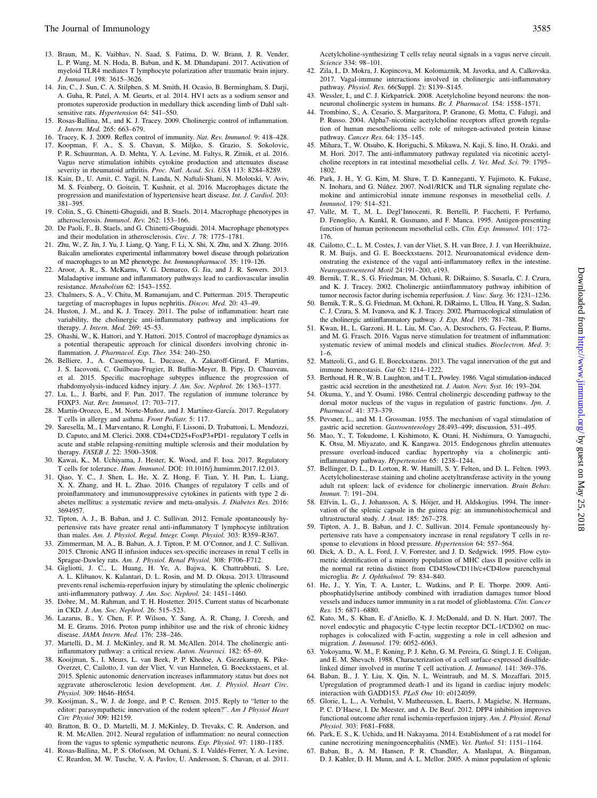- 13. Braun, M., K. Vaibhav, N. Saad, S. Fatima, D. W. Brann, J. R. Vender, L. P. Wang, M. N. Hoda, B. Baban, and K. M. Dhandapani. 2017. Activation of myeloid TLR4 mediates T lymphocyte polarization after traumatic brain injury. J. Immunol. 198: 3615–3626.
- 14. Jin, C., J. Sun, C. A. Stilphen, S. M. Smith, H. Ocasio, B. Bermingham, S. Darji, A. Guha, R. Patel, A. M. Geurts, et al. 2014. HV1 acts as a sodium sensor and promotes superoxide production in medullary thick ascending limb of Dahl saltsensitive rats. Hypertension 64: 541-550.
- 15. Rosas-Ballina, M., and K. J. Tracey. 2009. Cholinergic control of inflammation. J. Intern. Med. 265: 663–679.
- 16. Tracey, K. J. 2009. Reflex control of immunity. Nat. Rev. Immunol. 9: 418–428. 17. Koopman, F. A., S. S. Chavan, S. Miljko, S. Grazio, S. Sokolovic, P. R. Schuurman, A. D. Mehta, Y. A. Levine, M. Faltys, R. Zitnik, et al. 2016. Vagus nerve stimulation inhibits cytokine production and attenuates disease
- severity in rheumatoid arthritis. Proc. Natl. Acad. Sci. USA 113: 8284-8289. 18. Kain, D., U. Amit, C. Yagil, N. Landa, N. Naftali-Shani, N. Molotski, V. Aviv, M. S. Feinberg, O. Goitein, T. Kushnir, et al. 2016. Macrophages dictate the progression and manifestation of hypertensive heart disease. Int. J. Cardiol. 203: 381–395.
- 19. Colin, S., G. Chinetti-Gbaguidi, and B. Staels. 2014. Macrophage phenotypes in atherosclerosis. Immunol. Rev. 262: 153–166.
- 20. De Paoli, F., B. Staels, and G. Chinetti-Gbaguidi. 2014. Macrophage phenotypes and their modulation in atherosclerosis. Circ. J. 78: 1775–1781.
- 21. Zhu, W., Z. Jin, J. Yu, J. Liang, Q. Yang, F. Li, X. Shi, X. Zhu, and X. Zhang. 2016. Baicalin ameliorates experimental inflammatory bowel disease through polarization of macrophages to an M2 phenotype. Int. Immunopharmacol. 35: 119–126.
- 22. Aroor, A. R., S. McKarns, V. G. Demarco, G. Jia, and J. R. Sowers. 2013. Maladaptive immune and inflammatory pathways lead to cardiovascular insulin resistance. Metabolism 62: 1543-1552
- 23. Chalmers, S. A., V. Chitu, M. Ramanujam, and C. Putterman. 2015. Therapeutic targeting of macrophages in lupus nephritis. Discov. Med. 20: 43–49.
- 24. Huston, J. M., and K. J. Tracey. 2011. The pulse of inflammation: heart rate variability, the cholinergic anti-inflammatory pathway and implications for therapy. J. Intern. Med. 269: 45–53.
- 25. Ohashi, W., K. Hattori, and Y. Hattori. 2015. Control of macrophage dynamics as a potential therapeutic approach for clinical disorders involving chronic inflammation. J. Pharmacol. Exp. Ther. 354: 240–250.
- 26. Belliere, J., A. Casemayou, L. Ducasse, A. Zakaroff-Girard, F. Martins, J. S. Iacovoni, C. Guilbeau-Frugier, B. Buffin-Meyer, B. Pipy, D. Chauveau, et al. 2015. Specific macrophage subtypes influence the progression of rhabdomyolysis-induced kidney injury. J. Am. Soc. Nephrol. 26: 1363–1377.
- 27. Lu, L., J. Barbi, and F. Pan. 2017. The regulation of immune tolerance by FOXP3. Nat. Rev. Immunol. 17: 703–717.
- 28. Martín-Orozco, E., M. Norte-Muñoz, and J. Martínez-García. 2017. Regulatory T cells in allergy and asthma. Front Pediatr. 5: 117.
- 29. Saresella, M., I. Marventano, R. Longhi, F. Lissoni, D. Trabattoni, L. Mendozzi, D. Caputo, and M. Clerici. 2008. CD4+CD25+FoxP3+PD1- regulatory T cells in acute and stable relapsing-remitting multiple sclerosis and their modulation by therapy. FASEB J. 22: 3500–3508.
- 30. Kawai, K., M. Uchiyama, J. Hester, K. Wood, and F. Issa. 2017. Regulatory T cells for tolerance. Hum. Immunol. DOI: [10.1016/j.humimm.2017.12.013.](http://dx.doi.org/10.1016/j.humimm.2017.12.013)
- 31. Qiao, Y. C., J. Shen, L. He, X. Z. Hong, F. Tian, Y. H. Pan, L. Liang, X. X. Zhang, and H. L. Zhao. 2016. Changes of regulatory T cells and of proinflammatory and immunosuppressive cytokines in patients with type 2 diabetes mellitus: a systematic review and meta-analysis. J. Diabetes Res. 2016: 3694957.
- 32. Tipton, A. J., B. Baban, and J. C. Sullivan. 2012. Female spontaneously hypertensive rats have greater renal anti-inflammatory T lymphocyte infiltration than males. Am. J. Physiol. Regul. Integr. Comp. Physiol. 303: R359–R367.
- 33. Zimmerman, M. A., B. Baban, A. J. Tipton, P. M. O'Connor, and J. C. Sullivan. 2015. Chronic ANG II infusion induces sex-specific increases in renal T cells in Sprague-Dawley rats. Am. J. Physiol. Renal Physiol. 308: F706–F712.
- 34. Gigliotti, J. C., L. Huang, H. Ye, A. Bajwa, K. Chattrabhuti, S. Lee, A. L. Klibanov, K. Kalantari, D. L. Rosin, and M. D. Okusa. 2013. Ultrasound prevents renal ischemia-reperfusion injury by stimulating the splenic cholinergic anti-inflammatory pathway. J. Am. Soc. Nephrol. 24: 1451–1460.
- 35. Dobre, M., M. Rahman, and T. H. Hostetter. 2015. Current status of bicarbonate in CKD. J. Am. Soc. Nephrol. 26: 515–523.
- 36. Lazarus, B., Y. Chen, F. P. Wilson, Y. Sang, A. R. Chang, J. Coresh, and M. E. Grams. 2016. Proton pump inhibitor use and the risk of chronic kidney disease. JAMA Intern. Med. 176: 238–246.
- 37. Martelli, D., M. J. McKinley, and R. M. McAllen. 2014. The cholinergic antiinflammatory pathway: a critical review. Auton. Neurosci. 182: 65–69.
- 38. Kooijman, S., I. Meurs, L. van Beek, P. P. Khedoe, A. Giezekamp, K. Pike-Overzet, C. Cailotto, J. van der Vliet, V. van Harmelen, G. Boeckxstaens, et al. 2015. Splenic autonomic denervation increases inflammatory status but does not aggravate atherosclerotic lesion development. Am. J. Physiol. Heart Circ. Physiol. 309: H646–H654.
- 39. Kooijman, S., W. J. de Jonge, and P. C. Rensen. 2015. Reply to "letter to the editor: parasympathetic innervation of the rodent spleen?". Am J Physiol Heart Circ Physiol 309: H2159.
- 40. Bratton, B. O., D. Martelli, M. J. McKinley, D. Trevaks, C. R. Anderson, and R. M. McAllen. 2012. Neural regulation of inflammation: no neural connection from the vagus to splenic sympathetic neurons. Exp. Physiol. 97: 1180–1185.
- 41. Rosas-Ballina, M., P. S. Olofsson, M. Ochani, S. I. Valdés-Ferrer, Y. A. Levine, C. Reardon, M. W. Tusche, V. A. Pavlov, U. Andersson, S. Chavan, et al. 2011.

Acetylcholine-synthesizing T cells relay neural signals in a vagus nerve circuit. Science 334: 98–101.

- 42. Zila, I., D. Mokra, J. Kopincova, M. Kolomaznik, M. Javorka, and A. Calkovska. 2017. Vagal-immune interactions involved in cholinergic anti-inflammatory pathway. Physiol. Res. 66(Suppl. 2): S139–S145.
- 43. Wessler, I., and C. J. Kirkpatrick. 2008. Acetylcholine beyond neurons: the nonneuronal cholinergic system in humans. Br. J. Pharmacol. 154: 1558–1571.
- 44. Trombino, S., A. Cesario, S. Margaritora, P. Granone, G. Motta, C. Falugi, and P. Russo. 2004. Alpha7-nicotinic acetylcholine receptors affect growth regulation of human mesothelioma cells: role of mitogen-activated protein kinase pathway. Cancer Res. 64: 135-145.
- 45. Mihara, T., W. Otsubo, K. Horiguchi, S. Mikawa, N. Kaji, S. Iino, H. Ozaki, and M. Hori. 2017. The anti-inflammatory pathway regulated via nicotinic acetylcholine receptors in rat intestinal mesothelial cells. J. Vet. Med. Sci. 79: 1795– 1802.
- 46. Park, J. H., Y. G. Kim, M. Shaw, T. D. Kanneganti, Y. Fujimoto, K. Fukase, N. Inohara, and G. Núñez. 2007. Nod1/RICK and TLR signaling regulate chemokine and antimicrobial innate immune responses in mesothelial cells. J. Immunol. 179: 514–521.
- 47. Valle, M. T., M. L. Degl'Innocenti, R. Bertelli, P. Facchetti, F. Perfumo, D. Fenoglio, A. Kunkl, R. Gusmano, and F. Manca. 1995. Antigen-presenting function of human peritoneum mesothelial cells. Clin. Exp. Immunol. 101: 172-176.
- 48. Cailotto, C., L. M. Costes, J. van der Vliet, S. H. van Bree, J. J. van Heerikhuize, R. M. Buijs, and G. E. Boeckxstaens. 2012. Neuroanatomical evidence demonstrating the existence of the vagal anti-inflammatory reflex in the intestine. Neurogastroenterol Motil 24:191–200, e193.
- 49. Bernik, T. R., S. G. Friedman, M. Ochani, R. DiRaimo, S. Susarla, C. J. Czura, and K. J. Tracey. 2002. Cholinergic antiinflammatory pathway inhibition of tumor necrosis factor during ischemia reperfusion. J. Vasc. Surg. 36: 1231–1236.
- 50. Bernik, T. R., S. G. Friedman, M. Ochani, R. DiRaimo, L. Ulloa, H. Yang, S. Sudan, C. J. Czura, S. M. Ivanova, and K. J. Tracey. 2002. Pharmacological stimulation of the cholinergic antiinflammatory pathway. J. Exp. Med. 195: 781–788.
- 51. Kwan, H., L. Garzoni, H. L. Liu, M. Cao, A. Desrochers, G. Fecteau, P. Burns, and M. G. Frasch. 2016. Vagus nerve stimulation for treatment of inflammation: systematic review of animal models and clinical studies. Bioelectron. Med. 3: 1–6.
- 52. Matteoli, G., and G. E. Boeckxstaens. 2013. The vagal innervation of the gut and immune homeostasis. Gut 62: 1214–1222.
- 53. Berthoud, H. R., W. B. Laughton, and T. L. Powley. 1986. Vagal stimulation-induced gastric acid secretion in the anesthetized rat. J. Auton. Nerv. Syst. 16: 193–204.
- 54. Okuma, Y., and Y. Osumi. 1986. Central cholinergic descending pathway to the dorsal motor nucleus of the vagus in regulation of gastric functions. Jpn. J. Pharmacol. 41: 373–379.
- 55. Pevsner, L., and M. I. Grossman. 1955. The mechanism of vagal stimulation of gastric acid secretion. Gastroenterology 28:493–499; discussion, 531–495.
- 56. Mao, Y., T. Tokudome, I. Kishimoto, K. Otani, H. Nishimura, O. Yamaguchi, K. Otsu, M. Miyazato, and K. Kangawa. 2015. Endogenous ghrelin attenuates pressure overload-induced cardiac hypertrophy via a cholinergic antiinflammatory pathway. Hypertension 65: 1238–1244.
- 57. Bellinger, D. L., D. Lorton, R. W. Hamill, S. Y. Felten, and D. L. Felten. 1993. Acetylcholinesterase staining and choline acetyltransferase activity in the young adult rat spleen: lack of evidence for cholinergic innervation. Brain Behav. Immun. 7: 191–204.
- 58. Elfvin, L. G., J. Johansson, A. S. Höijer, and H. Aldskogius. 1994. The innervation of the splenic capsule in the guinea pig: an immunohistochemical and ultrastructural study. J. Anat. 185: 267–278.
- 59. Tipton, A. J., B. Baban, and J. C. Sullivan. 2014. Female spontaneously hypertensive rats have a compensatory increase in renal regulatory T cells in response to elevations in blood pressure. Hypertension 64: 557–564.
- 60. Dick, A. D., A. L. Ford, J. V. Forrester, and J. D. Sedgwick. 1995. Flow cytometric identification of a minority population of MHC class II positive cells in the normal rat retina distinct from CD45lowCD11b/c+CD4low parenchymal microglia. Br. J. Ophthalmol. 79: 834–840.
- 61. He, J., Y. Yin, T. A. Luster, L. Watkins, and P. E. Thorpe. 2009. Antiphosphatidylserine antibody combined with irradiation damages tumor blood vessels and induces tumor immunity in a rat model of glioblastoma. Clin. Cancer Res. 15: 6871–6880.
- 62. Kato, M., S. Khan, E. d'Aniello, K. J. McDonald, and D. N. Hart. 2007. The novel endocytic and phagocytic C-type lectin receptor DCL-1/CD302 on macrophages is colocalized with F-actin, suggesting a role in cell adhesion and migration. J. Immunol. 179: 6052–6063.
- 63. Yokoyama, W. M., F. Koning, P. J. Kehn, G. M. Pereira, G. Stingl, J. E. Coligan, and E. M. Shevach. 1988. Characterization of a cell surface-expressed disulfidelinked dimer involved in murine T cell activation. J. Immunol. 141: 369–376.
- 64. Baban, B., J. Y. Liu, X. Qin, N. L. Weintraub, and M. S. Mozaffari. 2015. Upregulation of programmed death-1 and its ligand in cardiac injury models: interaction with GADD153. PLoS One 10: e0124059.
- 65. Glorie, L. L., A. Verhulst, V. Matheeussen, L. Baerts, J. Magielse, N. Hermans, P. C. D'Haese, I. De Meester, and A. De Beuf. 2012. DPP4 inhibition improves functional outcome after renal ischemia-reperfusion injury. Am. J. Physiol. Renal Physiol. 303: F681–F688.
- 66. Park, E. S., K. Uchida, and H. Nakayama. 2014. Establishment of a rat model for canine necrotizing meningoencephalitis (NME). Vet. Pathol. 51: 1151–1164.
- 67. Baban, B., A. M. Hansen, P. R. Chandler, A. Manlapat, A. Bingaman, D. J. Kahler, D. H. Munn, and A. L. Mellor. 2005. A minor population of splenic